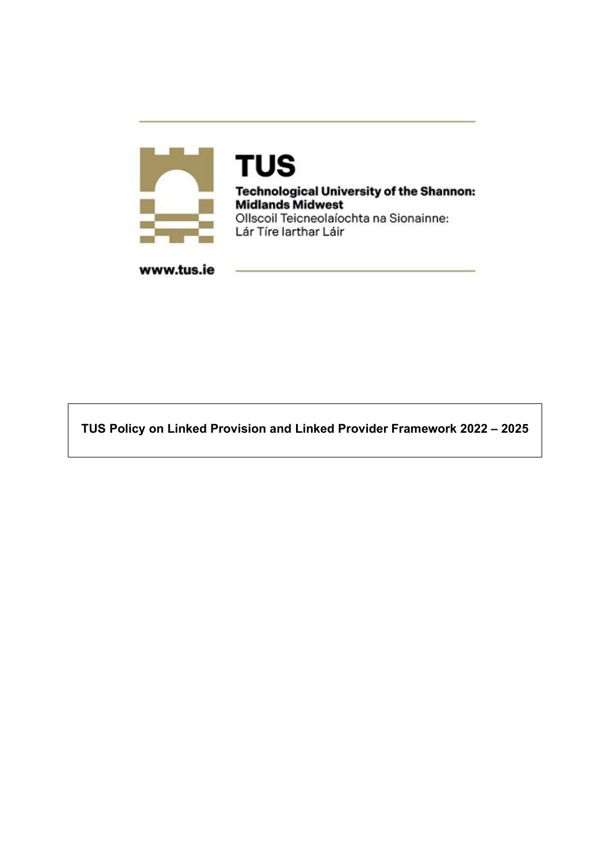

**TUS Technological University of the Shannon: Midlands Midwest** Ollscoil Teicneolaíochta na Sionainne: Lár Tíre Iarthar Láir

www.tus.ie

**TUS Policy on Linked Provision and Linked Provider Framework 2022 – 2025**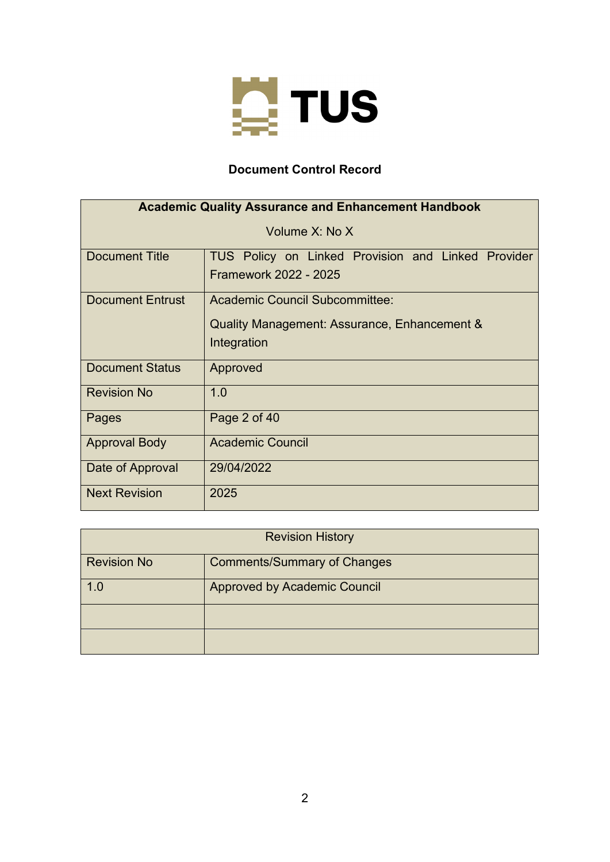

# **Document Control Record**

| <b>Academic Quality Assurance and Enhancement Handbook</b> |                                                                                               |  |  |  |  |  |
|------------------------------------------------------------|-----------------------------------------------------------------------------------------------|--|--|--|--|--|
| Volume X: No X                                             |                                                                                               |  |  |  |  |  |
| <b>Document Title</b>                                      | TUS Policy on Linked Provision and Linked Provider<br>Framework 2022 - 2025                   |  |  |  |  |  |
| <b>Document Entrust</b>                                    | Academic Council Subcommittee:<br>Quality Management: Assurance, Enhancement &<br>Integration |  |  |  |  |  |
| <b>Document Status</b>                                     | Approved                                                                                      |  |  |  |  |  |
| <b>Revision No</b>                                         | 1.0                                                                                           |  |  |  |  |  |
| Pages                                                      | Page 2 of 40                                                                                  |  |  |  |  |  |
| <b>Approval Body</b>                                       | <b>Academic Council</b>                                                                       |  |  |  |  |  |
| Date of Approval                                           | 29/04/2022                                                                                    |  |  |  |  |  |
| <b>Next Revision</b>                                       | 2025                                                                                          |  |  |  |  |  |

| <b>Revision History</b> |                                     |  |  |
|-------------------------|-------------------------------------|--|--|
| <b>Revision No</b>      | <b>Comments/Summary of Changes</b>  |  |  |
| 1.0                     | <b>Approved by Academic Council</b> |  |  |
|                         |                                     |  |  |
|                         |                                     |  |  |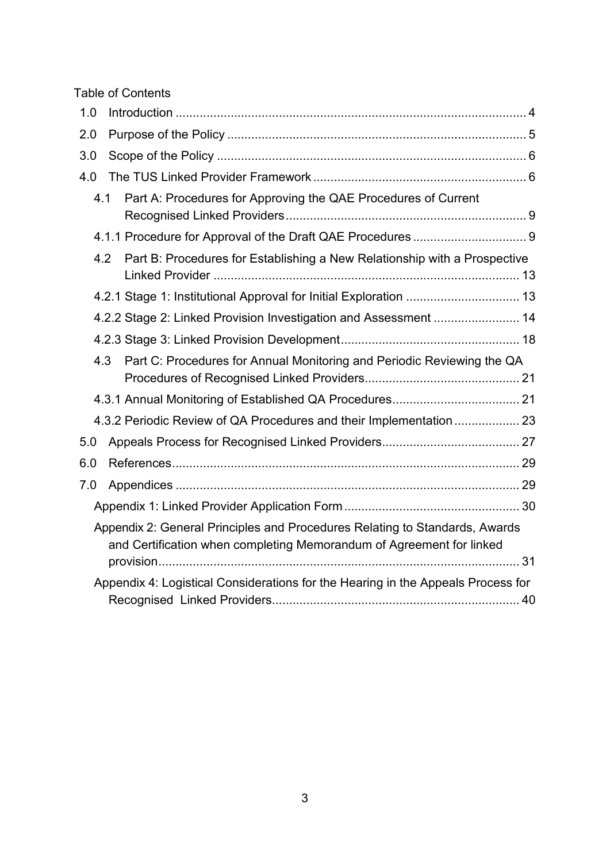Table of Contents

| 1.0 |                                                                                                                                                     |  |
|-----|-----------------------------------------------------------------------------------------------------------------------------------------------------|--|
| 2.0 |                                                                                                                                                     |  |
| 3.0 |                                                                                                                                                     |  |
| 4.0 |                                                                                                                                                     |  |
|     | Part A: Procedures for Approving the QAE Procedures of Current<br>4.1                                                                               |  |
|     |                                                                                                                                                     |  |
|     | 4.2<br>Part B: Procedures for Establishing a New Relationship with a Prospective                                                                    |  |
|     | 4.2.1 Stage 1: Institutional Approval for Initial Exploration  13                                                                                   |  |
|     | 4.2.2 Stage 2: Linked Provision Investigation and Assessment  14                                                                                    |  |
|     |                                                                                                                                                     |  |
|     | Part C: Procedures for Annual Monitoring and Periodic Reviewing the QA<br>4.3                                                                       |  |
|     |                                                                                                                                                     |  |
|     | 4.3.2 Periodic Review of QA Procedures and their Implementation  23                                                                                 |  |
| 5.0 |                                                                                                                                                     |  |
| 6.0 |                                                                                                                                                     |  |
| 7.0 |                                                                                                                                                     |  |
|     |                                                                                                                                                     |  |
|     | Appendix 2: General Principles and Procedures Relating to Standards, Awards<br>and Certification when completing Memorandum of Agreement for linked |  |
|     |                                                                                                                                                     |  |
|     | Appendix 4: Logistical Considerations for the Hearing in the Appeals Process for                                                                    |  |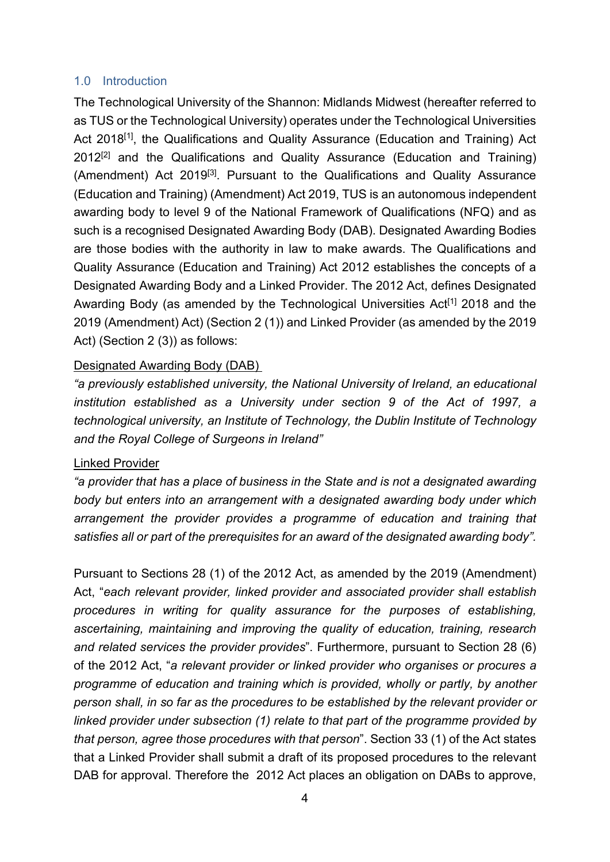## <span id="page-3-0"></span>1.0 Introduction

The Technological University of the Shannon: Midlands Midwest (hereafter referred to as TUS or the Technological University) operates under the Technological Universities Act 2018<sup>[1]</sup>, the Qualifications and Quality Assurance (Education and Training) Act  $2012^{[2]}$  and the Qualifications and Quality Assurance (Education and Training) (Amendment) Act 2019[3]. Pursuant to the Qualifications and Quality Assurance (Education and Training) (Amendment) Act 2019, TUS is an autonomous independent awarding body to level 9 of the National Framework of Qualifications (NFQ) and as such is a recognised Designated Awarding Body (DAB). Designated Awarding Bodies are those bodies with the authority in law to make awards. The Qualifications and Quality Assurance (Education and Training) Act 2012 establishes the concepts of a Designated Awarding Body and a Linked Provider. The 2012 Act, defines Designated Awarding Body (as amended by the Technological Universities Act<sup>[1]</sup> 2018 and the 2019 (Amendment) Act) (Section 2 (1)) and Linked Provider (as amended by the 2019 Act) (Section 2 (3)) as follows:

# Designated Awarding Body (DAB)

*"a previously established university, the National University of Ireland, an educational institution established as a University under section 9 of the Act of 1997, a technological university, an Institute of Technology, the Dublin Institute of Technology and the Royal College of Surgeons in Ireland"*

## Linked Provider

*"a provider that has a place of business in the State and is not a designated awarding body but enters into an arrangement with a designated awarding body under which arrangement the provider provides a programme of education and training that satisfies all or part of the prerequisites for an award of the designated awarding body".* 

Pursuant to Sections 28 (1) of the 2012 Act, as amended by the 2019 (Amendment) Act, "*each relevant provider, linked provider and associated provider shall establish procedures in writing for quality assurance for the purposes of establishing, ascertaining, maintaining and improving the quality of education, training, research and related services the provider provides*". Furthermore, pursuant to Section 28 (6) of the 2012 Act, "*a relevant provider or linked provider who organises or procures a programme of education and training which is provided, wholly or partly, by another person shall, in so far as the procedures to be established by the relevant provider or linked provider under subsection (1) relate to that part of the programme provided by that person, agree those procedures with that person*". Section 33 (1) of the Act states that a Linked Provider shall submit a draft of its proposed procedures to the relevant DAB for approval. Therefore the 2012 Act places an obligation on DABs to approve,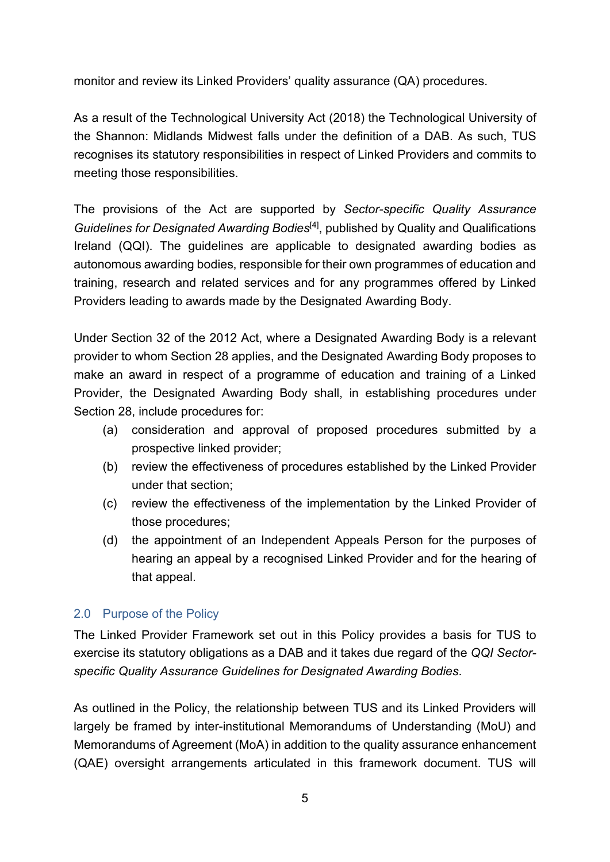monitor and review its Linked Providers' quality assurance (QA) procedures.

As a result of the Technological University Act (2018) the Technological University of the Shannon: Midlands Midwest falls under the definition of a DAB. As such, TUS recognises its statutory responsibilities in respect of Linked Providers and commits to meeting those responsibilities.

The provisions of the Act are supported by *Sector-specific Quality Assurance*  Guidelines for Designated Awarding Bodies<sup>[4]</sup>, published by Quality and Qualifications Ireland (QQI). The guidelines are applicable to designated awarding bodies as autonomous awarding bodies, responsible for their own programmes of education and training, research and related services and for any programmes offered by Linked Providers leading to awards made by the Designated Awarding Body.

Under Section 32 of the 2012 Act, where a Designated Awarding Body is a relevant provider to whom Section 28 applies, and the Designated Awarding Body proposes to make an award in respect of a programme of education and training of a Linked Provider, the Designated Awarding Body shall, in establishing procedures under Section 28, include procedures for:

- (a) consideration and approval of proposed procedures submitted by a prospective linked provider;
- (b) review the effectiveness of procedures established by the Linked Provider under that section;
- (c) review the effectiveness of the implementation by the Linked Provider of those procedures;
- (d) the appointment of an Independent Appeals Person for the purposes of hearing an appeal by a recognised Linked Provider and for the hearing of that appeal.

# <span id="page-4-0"></span>2.0 Purpose of the Policy

The Linked Provider Framework set out in this Policy provides a basis for TUS to exercise its statutory obligations as a DAB and it takes due regard of the *QQI Sectorspecific Quality Assurance Guidelines for Designated Awarding Bodies*.

As outlined in the Policy, the relationship between TUS and its Linked Providers will largely be framed by inter-institutional Memorandums of Understanding (MoU) and Memorandums of Agreement (MoA) in addition to the quality assurance enhancement (QAE) oversight arrangements articulated in this framework document. TUS will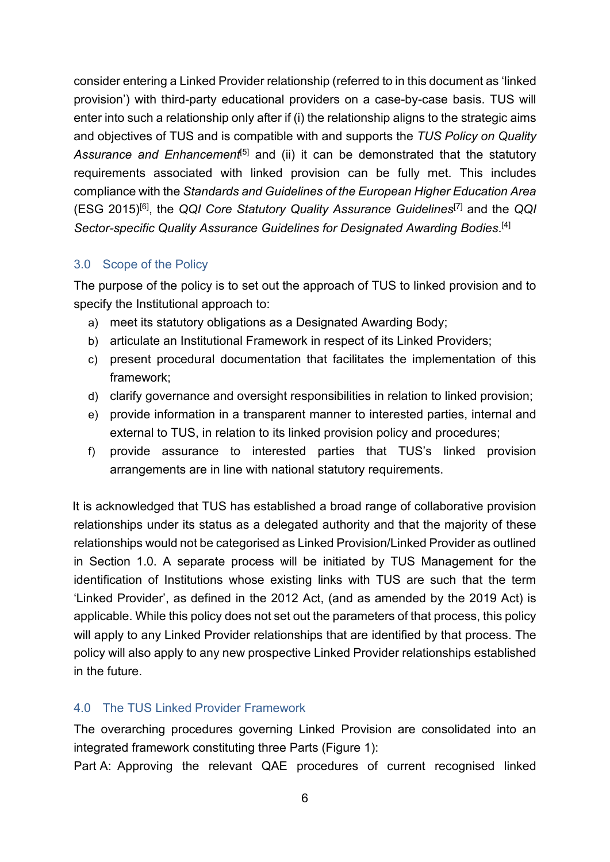consider entering a Linked Provider relationship (referred to in this document as 'linked provision') with third-party educational providers on a case-by-case basis. TUS will enter into such a relationship only after if (i) the relationship aligns to the strategic aims and objectives of TUS and is compatible with and supports the *TUS Policy on Quality*  Assurance and Enhancement<sup>[5]</sup> and (ii) it can be demonstrated that the statutory requirements associated with linked provision can be fully met. This includes compliance with the *Standards and Guidelines of the European Higher Education Area* (ESG 2015)[6] , the *QQI Core Statutory Quality Assurance Guidelines*[7] and the *QQI Sector-specific Quality Assurance Guidelines for Designated Awarding Bodies*. [4]

# <span id="page-5-0"></span>3.0 Scope of the Policy

The purpose of the policy is to set out the approach of TUS to linked provision and to specify the Institutional approach to:

- a) meet its statutory obligations as a Designated Awarding Body;
- b) articulate an Institutional Framework in respect of its Linked Providers;
- c) present procedural documentation that facilitates the implementation of this framework;
- d) clarify governance and oversight responsibilities in relation to linked provision;
- e) provide information in a transparent manner to interested parties, internal and external to TUS, in relation to its linked provision policy and procedures;
- f) provide assurance to interested parties that TUS's linked provision arrangements are in line with national statutory requirements.

It is acknowledged that TUS has established a broad range of collaborative provision relationships under its status as a delegated authority and that the majority of these relationships would not be categorised as Linked Provision/Linked Provider as outlined in Section 1.0. A separate process will be initiated by TUS Management for the identification of Institutions whose existing links with TUS are such that the term 'Linked Provider', as defined in the 2012 Act, (and as amended by the 2019 Act) is applicable. While this policy does not set out the parameters of that process, this policy will apply to any Linked Provider relationships that are identified by that process. The policy will also apply to any new prospective Linked Provider relationships established in the future.

# <span id="page-5-1"></span>4.0 The TUS Linked Provider Framework

The overarching procedures governing Linked Provision are consolidated into an integrated framework constituting three Parts (Figure 1):

Part A: Approving the relevant QAE procedures of current recognised linked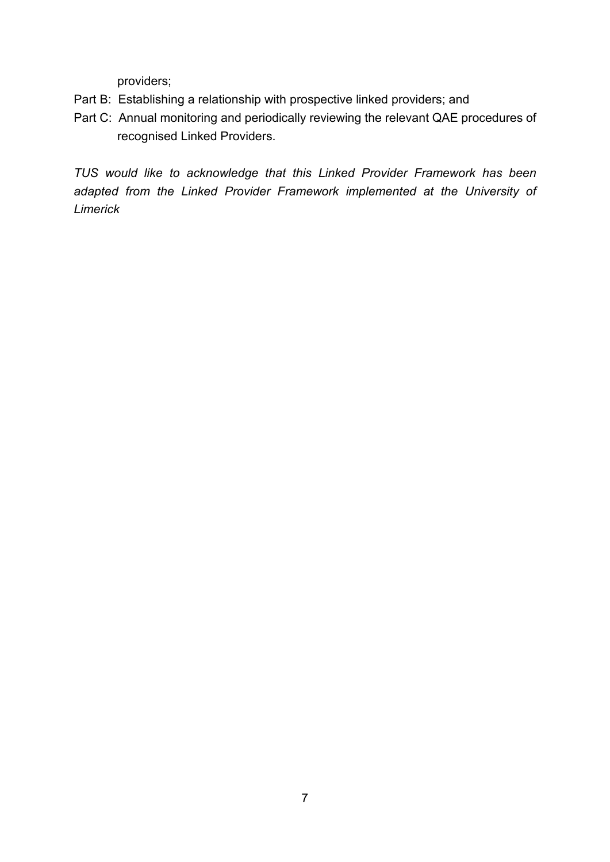providers;

- Part B: Establishing a relationship with prospective linked providers; and
- Part C: Annual monitoring and periodically reviewing the relevant QAE procedures of recognised Linked Providers.

*TUS would like to acknowledge that this Linked Provider Framework has been adapted from the Linked Provider Framework implemented at the University of Limerick*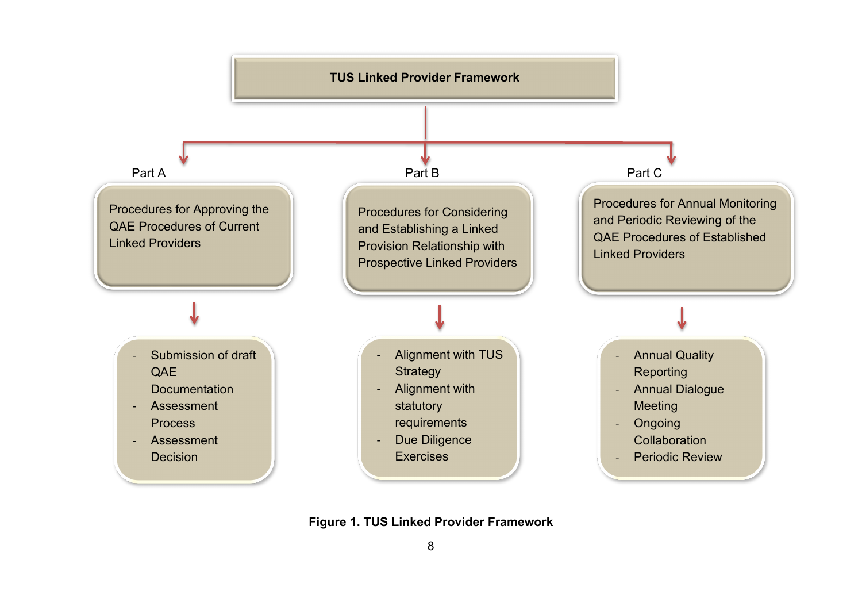

**Figure 1. TUS Linked Provider Framework**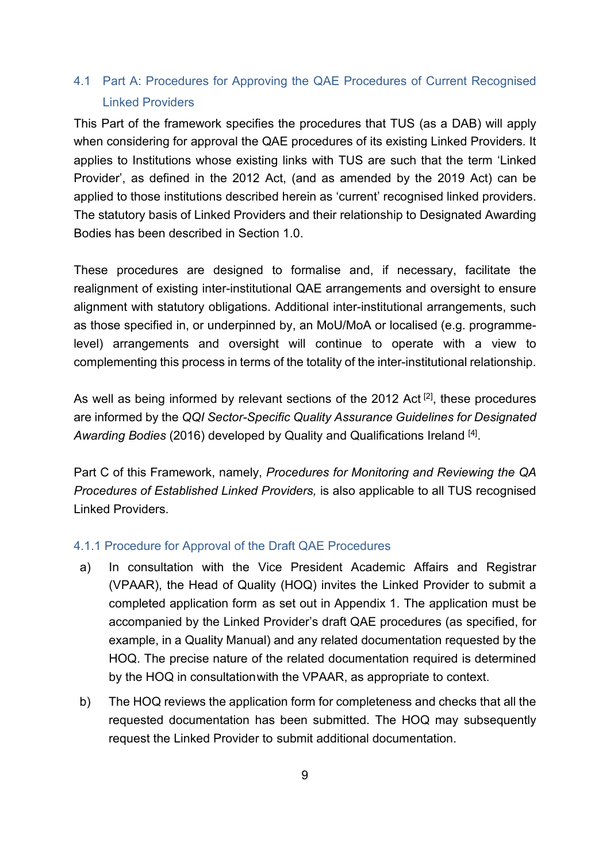# <span id="page-8-0"></span>4.1 Part A: Procedures for Approving the QAE Procedures of Current Recognised Linked Providers

This Part of the framework specifies the procedures that TUS (as a DAB) will apply when considering for approval the QAE procedures of its existing Linked Providers. It applies to Institutions whose existing links with TUS are such that the term 'Linked Provider', as defined in the 2012 Act, (and as amended by the 2019 Act) can be applied to those institutions described herein as 'current' recognised linked providers. The statutory basis of Linked Providers and their relationship to Designated Awarding Bodies has been described in Section 1.0.

These procedures are designed to formalise and, if necessary, facilitate the realignment of existing inter-institutional QAE arrangements and oversight to ensure alignment with statutory obligations. Additional inter-institutional arrangements, such as those specified in, or underpinned by, an MoU/MoA or localised (e.g. programmelevel) arrangements and oversight will continue to operate with a view to complementing this process in terms of the totality of the inter-institutional relationship.

As well as being informed by relevant sections of the 2012 Act<sup>[2]</sup>, these procedures are informed by the *QQI [Sector-Specific Quality Assurance Guidelines](http://www.qqi.ie/Downloads/Sector-Specific%20QAG%20DAB-V2.1.pdf) for Designated* A*warding Bodies* (2016) developed by Quality and Qualifications Ireland <sup>[4]</sup>.

Part C of this Framework, namely, *Procedures for Monitoring and Reviewing the QA Procedures of Established Linked Providers,* is also applicable to all TUS recognised Linked Providers.

#### <span id="page-8-1"></span>4.1.1 Procedure for Approval of the Draft QAE Procedures

- a) In consultation with the Vice President Academic Affairs and Registrar (VPAAR), the Head of Quality (HOQ) invites the Linked Provider to submit a completed application form as set out in Appendix 1. The application must be accompanied by the Linked Provider's draft QAE procedures (as specified, for example, in a Quality Manual) and any related documentation requested by the HOQ. The precise nature of the related documentation required is determined by the HOQ in consultationwith the VPAAR, as appropriate to context.
- b) The HOQ reviews the application form for completeness and checks that all the requested documentation has been submitted. The HOQ may subsequently request the Linked Provider to submit additional documentation.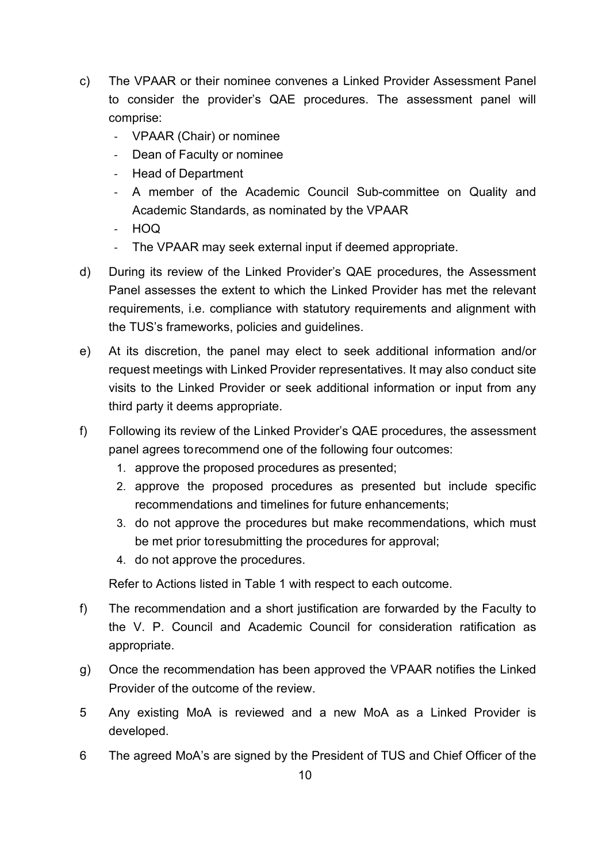- c) The VPAAR or their nominee convenes a Linked Provider Assessment Panel to consider the provider's QAE procedures. The assessment panel will comprise:
	- VPAAR (Chair) or nominee
	- Dean of Faculty or nominee
	- Head of Department
	- A member of the Academic Council Sub-committee on Quality and Academic Standards, as nominated by the VPAAR
	- HOQ
	- The VPAAR may seek external input if deemed appropriate.
- d) During its review of the Linked Provider's QAE procedures, the Assessment Panel assesses the extent to which the Linked Provider has met the relevant requirements, i.e. compliance with statutory requirements and alignment with the TUS's frameworks, policies and guidelines.
- e) At its discretion, the panel may elect to seek additional information and/or request meetings with Linked Provider representatives. It may also conduct site visits to the Linked Provider or seek additional information or input from any third party it deems appropriate.
- f) Following its review of the Linked Provider's QAE procedures, the assessment panel agrees torecommend one of the following four outcomes:
	- 1. approve the proposed procedures as presented;
	- 2. approve the proposed procedures as presented but include specific recommendations and timelines for future enhancements;
	- 3. do not approve the procedures but make recommendations, which must be met prior toresubmitting the procedures for approval;
	- 4. do not approve the procedures.

Refer to Actions listed in Table 1 with respect to each outcome.

- f) The recommendation and a short justification are forwarded by the Faculty to the V. P. Council and Academic Council for consideration ratification as appropriate.
- g) Once the recommendation has been approved the VPAAR notifies the Linked Provider of the outcome of the review.
- 5 Any existing MoA is reviewed and a new MoA as a Linked Provider is developed.
- 6 The agreed MoA's are signed by the President of TUS and Chief Officer of the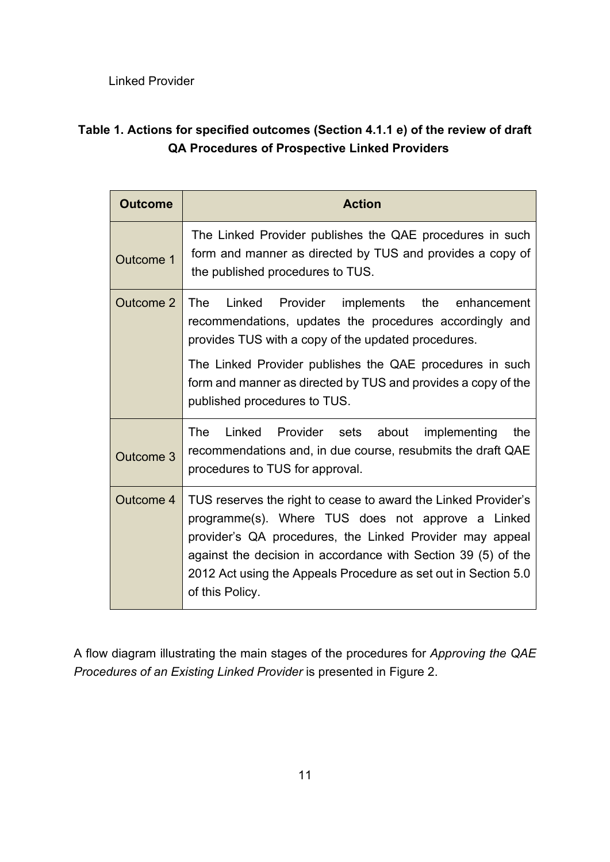Linked Provider

# **Table 1. Actions for specified outcomes (Section 4.1.1 e) of the review of draft QA Procedures of Prospective Linked Providers**

| <b>Outcome</b> | <b>Action</b>                                                                                                                                                                                                                                                                                                                         |  |  |
|----------------|---------------------------------------------------------------------------------------------------------------------------------------------------------------------------------------------------------------------------------------------------------------------------------------------------------------------------------------|--|--|
| Outcome 1      | The Linked Provider publishes the QAE procedures in such<br>form and manner as directed by TUS and provides a copy of<br>the published procedures to TUS.                                                                                                                                                                             |  |  |
| Outcome 2      | Linked<br>Provider implements the enhancement<br>The<br>recommendations, updates the procedures accordingly and<br>provides TUS with a copy of the updated procedures.                                                                                                                                                                |  |  |
|                | The Linked Provider publishes the QAE procedures in such<br>form and manner as directed by TUS and provides a copy of the<br>published procedures to TUS.                                                                                                                                                                             |  |  |
| Outcome 3      | The<br>Linked Provider sets about implementing<br>the<br>recommendations and, in due course, resubmits the draft QAE<br>procedures to TUS for approval.                                                                                                                                                                               |  |  |
| Outcome 4      | TUS reserves the right to cease to award the Linked Provider's<br>programme(s). Where TUS does not approve a Linked<br>provider's QA procedures, the Linked Provider may appeal<br>against the decision in accordance with Section 39 (5) of the<br>2012 Act using the Appeals Procedure as set out in Section 5.0<br>of this Policy. |  |  |

A flow diagram illustrating the main stages of the procedures for *Approving the QAE Procedures of an Existing Linked Provider* is presented in Figure 2.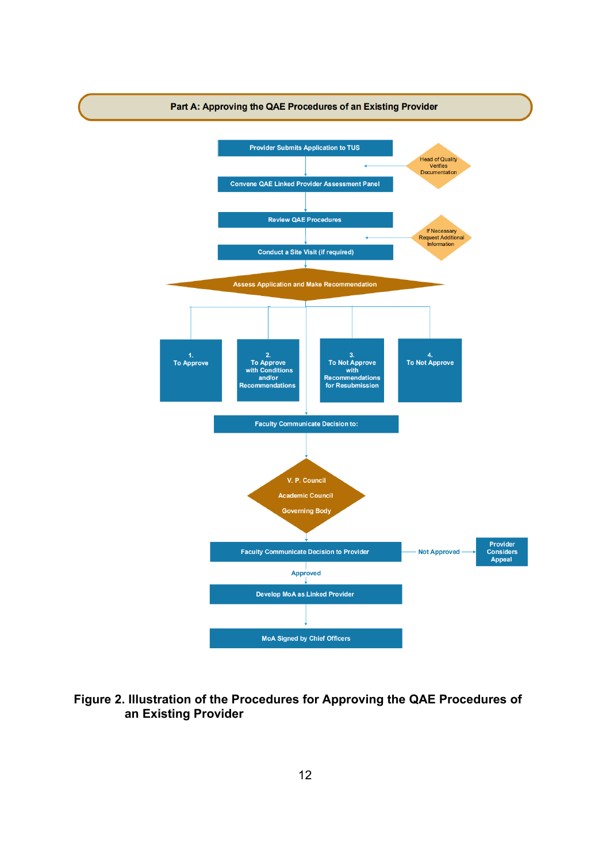

## **Figure 2. Illustration of the Procedures for Approving the QAE Procedures of an Existing Provider**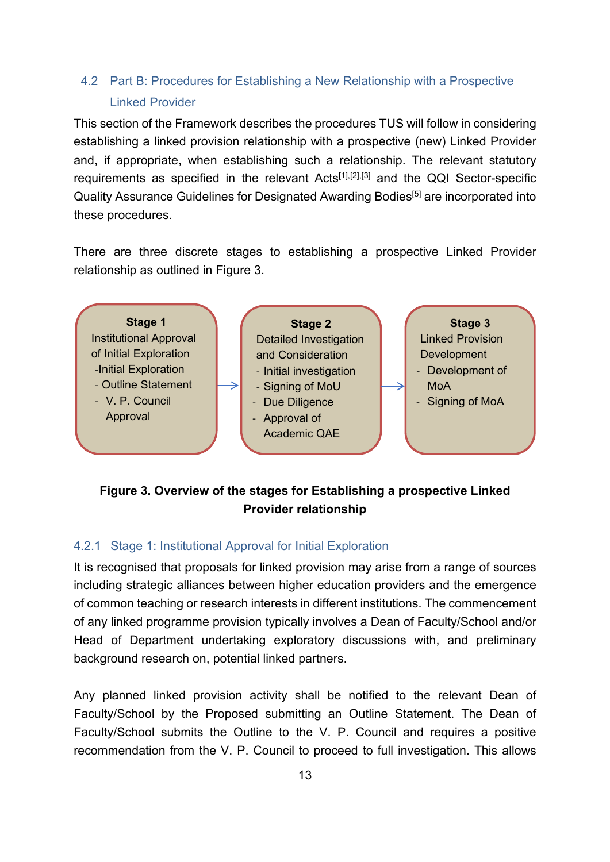# <span id="page-12-0"></span>4.2 Part B: Procedures for Establishing a New Relationship with a Prospective Linked Provider

This section of the Framework describes the procedures TUS will follow in considering establishing a linked provision relationship with a prospective (new) Linked Provider and, if appropriate, when establishing such a relationship. The relevant statutory requirements as specified in the relevant Acts[1],[2],[3] and the QQI Sector-specific Quality Assurance Guidelines for Designated Awarding Bodies<sup>[5]</sup> are incorporated into these procedures.

There are three discrete stages to establishing a prospective Linked Provider relationship as outlined in Figure 3.



# **Figure 3. Overview of the stages for Establishing a prospective Linked Provider relationship**

## <span id="page-12-1"></span>4.2.1 Stage 1: Institutional Approval for Initial Exploration

It is recognised that proposals for linked provision may arise from a range of sources including strategic alliances between higher education providers and the emergence of common teaching or research interests in different institutions. The commencement of any linked programme provision typically involves a Dean of Faculty/School and/or Head of Department undertaking exploratory discussions with, and preliminary background research on, potential linked partners.

Any planned linked provision activity shall be notified to the relevant Dean of Faculty/School by the Proposed submitting an Outline Statement. The Dean of Faculty/School submits the Outline to the V. P. Council and requires a positive recommendation from the V. P. Council to proceed to full investigation. This allows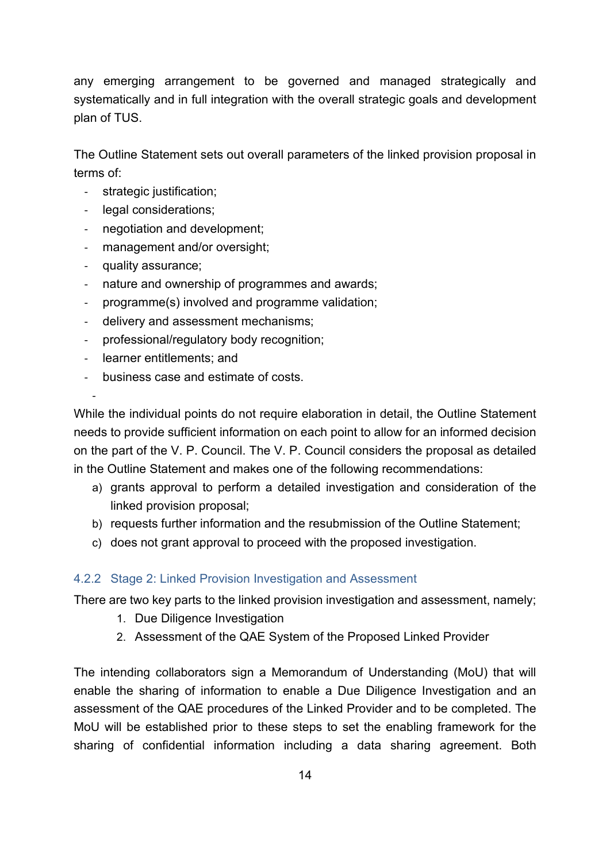any emerging arrangement to be governed and managed strategically and systematically and in full integration with the overall strategic goals and development plan of TUS.

The Outline Statement sets out overall parameters of the linked provision proposal in terms of:

- strategic justification;
- legal considerations;
- negotiation and development;
- management and/or oversight;
- quality assurance;

-

- nature and ownership of programmes and awards;
- programme(s) involved and programme validation;
- delivery and assessment mechanisms;
- professional/regulatory body recognition;
- learner entitlements; and
- business case and estimate of costs.

While the individual points do not require elaboration in detail, the Outline Statement needs to provide sufficient information on each point to allow for an informed decision on the part of the V. P. Council. The V. P. Council considers the proposal as detailed in the Outline Statement and makes one of the following recommendations:

- a) grants approval to perform a detailed investigation and consideration of the linked provision proposal;
- b) requests further information and the resubmission of the Outline Statement;
- c) does not grant approval to proceed with the proposed investigation.

## <span id="page-13-0"></span>4.2.2 Stage 2: Linked Provision Investigation and Assessment

There are two key parts to the linked provision investigation and assessment, namely;

- 1. Due Diligence Investigation
- 2. Assessment of the QAE System of the Proposed Linked Provider

The intending collaborators sign a Memorandum of Understanding (MoU) that will enable the sharing of information to enable a Due Diligence Investigation and an assessment of the QAE procedures of the Linked Provider and to be completed. The MoU will be established prior to these steps to set the enabling framework for the sharing of confidential information including a data sharing agreement. Both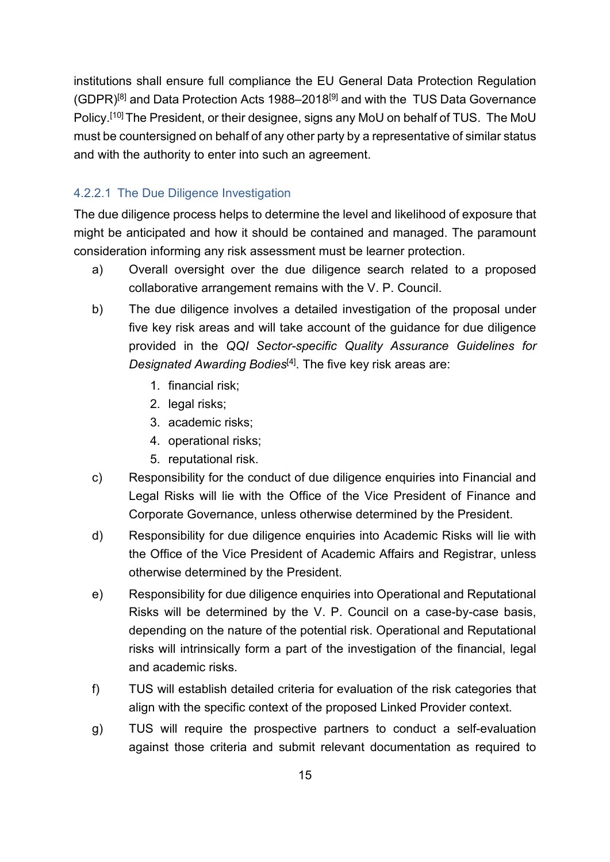institutions shall ensure full compliance the EU General Data Protection Regulation  $(GDPR)^{[8]}$  and Data Protection Acts 1988–2018<sup>[9]</sup> and with the TUS Data Governance Policy.[10] The President, or their designee, signs any MoU on behalf of TUS. The MoU must be countersigned on behalf of any other party by a representative of similar status and with the authority to enter into such an agreement.

## 4.2.2.1 The Due Diligence Investigation

The due diligence process helps to determine the level and likelihood of exposure that might be anticipated and how it should be contained and managed. The paramount consideration informing any risk assessment must be learner protection.

- a) Overall oversight over the due diligence search related to a proposed collaborative arrangement remains with the V. P. Council.
- b) The due diligence involves a detailed investigation of the proposal under five key risk areas and will take account of the guidance for due diligence provided in the *QQI Sector-specific Quality Assurance Guidelines for Designated Awarding Bodies*[4] . The five key risk areas are:
	- 1. financial risk;
	- 2. legal risks;
	- 3. academic risks;
	- 4. operational risks;
	- 5. reputational risk.
- c) Responsibility for the conduct of due diligence enquiries into Financial and Legal Risks will lie with the Office of the Vice President of Finance and Corporate Governance, unless otherwise determined by the President.
- d) Responsibility for due diligence enquiries into Academic Risks will lie with the Office of the Vice President of Academic Affairs and Registrar, unless otherwise determined by the President.
- e) Responsibility for due diligence enquiries into Operational and Reputational Risks will be determined by the V. P. Council on a case-by-case basis, depending on the nature of the potential risk. Operational and Reputational risks will intrinsically form a part of the investigation of the financial, legal and academic risks.
- f) TUS will establish detailed criteria for evaluation of the risk categories that align with the specific context of the proposed Linked Provider context.
- g) TUS will require the prospective partners to conduct a self-evaluation against those criteria and submit relevant documentation as required to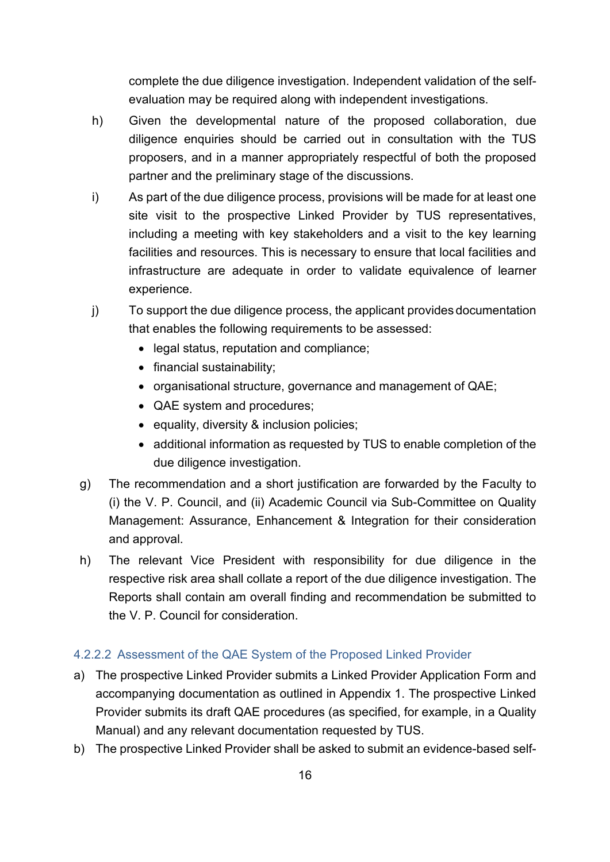complete the due diligence investigation. Independent validation of the selfevaluation may be required along with independent investigations.

- h) Given the developmental nature of the proposed collaboration, due diligence enquiries should be carried out in consultation with the TUS proposers, and in a manner appropriately respectful of both the proposed partner and the preliminary stage of the discussions.
- i) As part of the due diligence process, provisions will be made for at least one site visit to the prospective Linked Provider by TUS representatives, including a meeting with key stakeholders and a visit to the key learning facilities and resources. This is necessary to ensure that local facilities and infrastructure are adequate in order to validate equivalence of learner experience.
- j) To support the due diligence process, the applicant provides documentation that enables the following requirements to be assessed:
	- legal status, reputation and compliance;
	- financial sustainability;
	- organisational structure, governance and management of QAE;
	- QAE system and procedures;
	- equality, diversity & inclusion policies;
	- additional information as requested by TUS to enable completion of the due diligence investigation.
- g) The recommendation and a short justification are forwarded by the Faculty to (i) the V. P. Council, and (ii) Academic Council via Sub-Committee on Quality Management: Assurance, Enhancement & Integration for their consideration and approval.
- h) The relevant Vice President with responsibility for due diligence in the respective risk area shall collate a report of the due diligence investigation. The Reports shall contain am overall finding and recommendation be submitted to the V. P. Council for consideration.

## 4.2.2.2 Assessment of the QAE System of the Proposed Linked Provider

- a) The prospective Linked Provider submits a Linked Provider Application Form and accompanying documentation as outlined in Appendix 1. The prospective Linked Provider submits its draft QAE procedures (as specified, for example, in a Quality Manual) and any relevant documentation requested by TUS.
- b) The prospective Linked Provider shall be asked to submit an evidence-based self-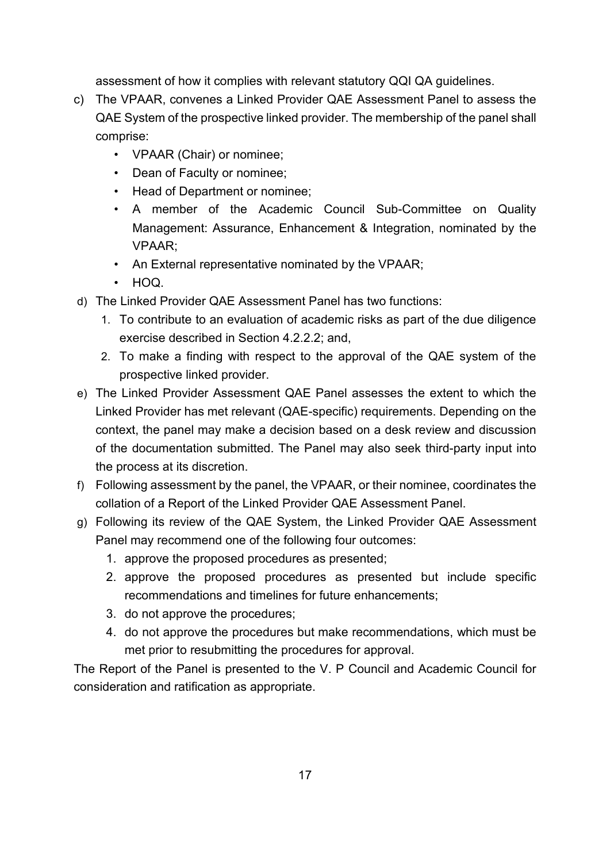assessment of how it complies with relevant statutory QQI QA guidelines.

- c) The VPAAR, convenes a Linked Provider QAE Assessment Panel to assess the QAE System of the prospective linked provider. The membership of the panel shall comprise:
	- VPAAR (Chair) or nominee;
	- Dean of Faculty or nominee;
	- Head of Department or nominee;
	- A member of the Academic Council Sub-Committee on Quality Management: Assurance, Enhancement & Integration, nominated by the VPAAR;
	- An External representative nominated by the VPAAR;
	- HOQ.
- d) The Linked Provider QAE Assessment Panel has two functions:
	- 1. To contribute to an evaluation of academic risks as part of the due diligence exercise described in Section 4.2.2.2; and,
	- 2. To make a finding with respect to the approval of the QAE system of the prospective linked provider.
- e) The Linked Provider Assessment QAE Panel assesses the extent to which the Linked Provider has met relevant (QAE-specific) requirements. Depending on the context, the panel may make a decision based on a desk review and discussion of the documentation submitted. The Panel may also seek third-party input into the process at its discretion.
- f) Following assessment by the panel, the VPAAR, or their nominee, coordinates the collation of a Report of the Linked Provider QAE Assessment Panel.
- g) Following its review of the QAE System, the Linked Provider QAE Assessment Panel may recommend one of the following four outcomes:
	- 1. approve the proposed procedures as presented;
	- 2. approve the proposed procedures as presented but include specific recommendations and timelines for future enhancements;
	- 3. do not approve the procedures;
	- 4. do not approve the procedures but make recommendations, which must be met prior to resubmitting the procedures for approval.

The Report of the Panel is presented to the V. P Council and Academic Council for consideration and ratification as appropriate.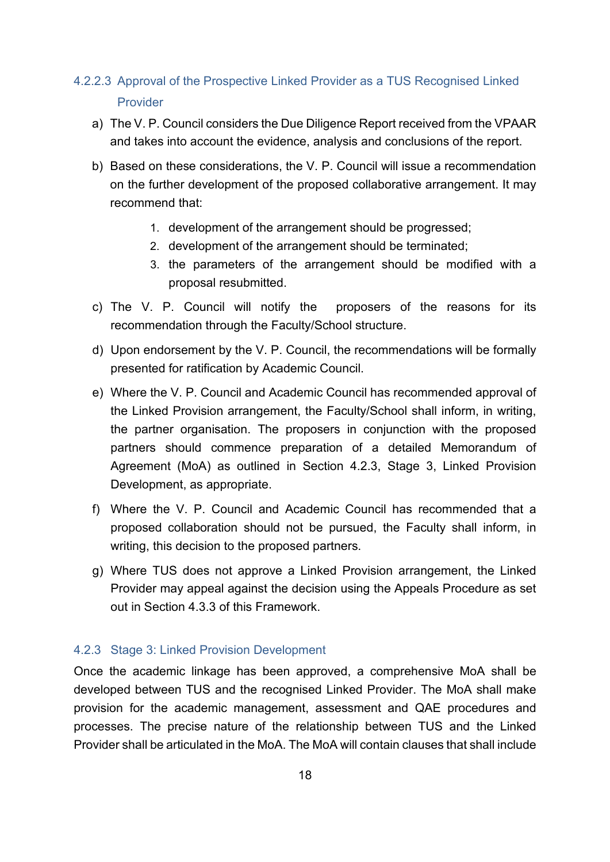# 4.2.2.3 Approval of the Prospective Linked Provider as a TUS Recognised Linked Provider

- a) The V. P. Council considers the Due Diligence Report received from the VPAAR and takes into account the evidence, analysis and conclusions of the report.
- b) Based on these considerations, the V. P. Council will issue a recommendation on the further development of the proposed collaborative arrangement. It may recommend that:
	- 1. development of the arrangement should be progressed;
	- 2. development of the arrangement should be terminated;
	- 3. the parameters of the arrangement should be modified with a proposal resubmitted.
- c) The V. P. Council will notify the proposers of the reasons for its recommendation through the Faculty/School structure.
- d) Upon endorsement by the V. P. Council, the recommendations will be formally presented for ratification by Academic Council.
- e) Where the V. P. Council and Academic Council has recommended approval of the Linked Provision arrangement, the Faculty/School shall inform, in writing, the partner organisation. The proposers in conjunction with the proposed partners should commence preparation of a detailed Memorandum of Agreement (MoA) as outlined in Section 4.2.3, Stage 3, Linked Provision Development, as appropriate.
- f) Where the V. P. Council and Academic Council has recommended that a proposed collaboration should not be pursued, the Faculty shall inform, in writing, this decision to the proposed partners.
- g) Where TUS does not approve a Linked Provision arrangement, the Linked Provider may appeal against the decision using the Appeals Procedure as set out in Section 4.3.3 of this Framework.

## <span id="page-17-0"></span>4.2.3 Stage 3: Linked Provision Development

Once the academic linkage has been approved, a comprehensive MoA shall be developed between TUS and the recognised Linked Provider. The MoA shall make provision for the academic management, assessment and QAE procedures and processes. The precise nature of the relationship between TUS and the Linked Provider shall be articulated in the MoA. The MoA will contain clauses that shall include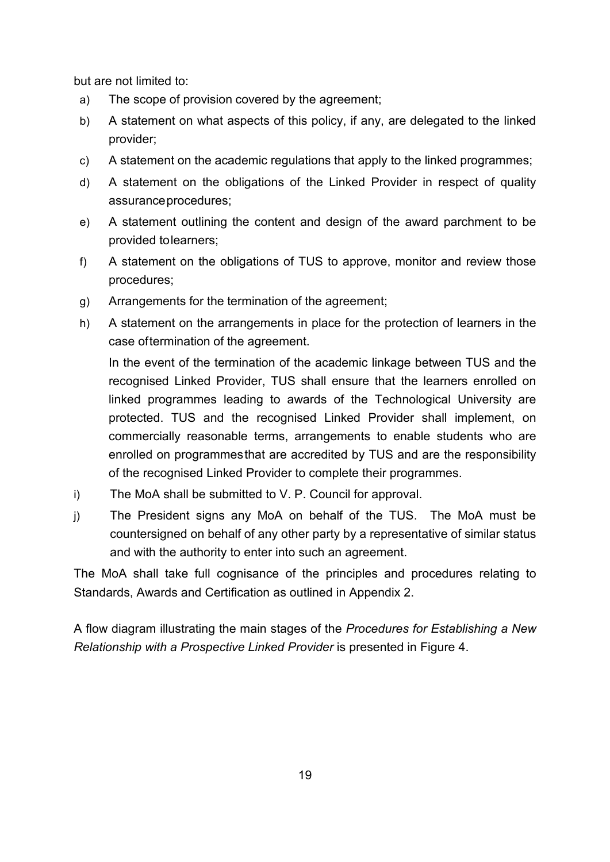but are not limited to:

- a) The scope of provision covered by the agreement;
- b) A statement on what aspects of this policy, if any, are delegated to the linked provider;
- c) A statement on the academic regulations that apply to the linked programmes;
- d) A statement on the obligations of the Linked Provider in respect of quality assuranceprocedures;
- e) A statement outlining the content and design of the award parchment to be provided tolearners;
- f) A statement on the obligations of TUS to approve, monitor and review those procedures;
- g) Arrangements for the termination of the agreement;
- h) A statement on the arrangements in place for the protection of learners in the case oftermination of the agreement.

In the event of the termination of the academic linkage between TUS and the recognised Linked Provider, TUS shall ensure that the learners enrolled on linked programmes leading to awards of the Technological University are protected. TUS and the recognised Linked Provider shall implement, on commercially reasonable terms, arrangements to enable students who are enrolled on programmesthat are accredited by TUS and are the responsibility of the recognised Linked Provider to complete their programmes.

- i) The MoA shall be submitted to V. P. Council for approval.
- j) The President signs any MoA on behalf of the TUS. The MoA must be countersigned on behalf of any other party by a representative of similar status and with the authority to enter into such an agreement.

The MoA shall take full cognisance of the principles and procedures relating to Standards, Awards and Certification as outlined in Appendix 2.

A flow diagram illustrating the main stages of the *Procedures for Establishing a New Relationship with a Prospective Linked Provider* is presented in Figure 4.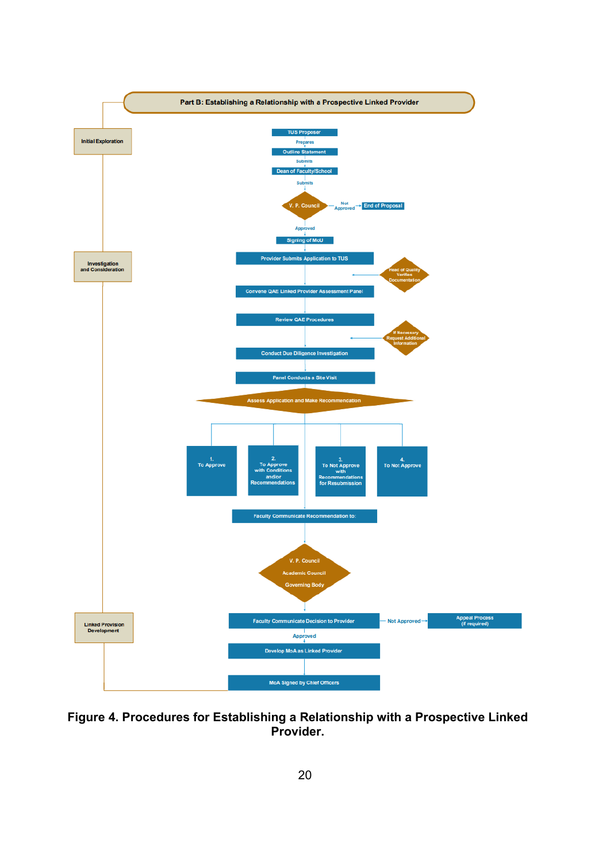

**Figure 4. Procedures for Establishing a Relationship with a Prospective Linked Provider.**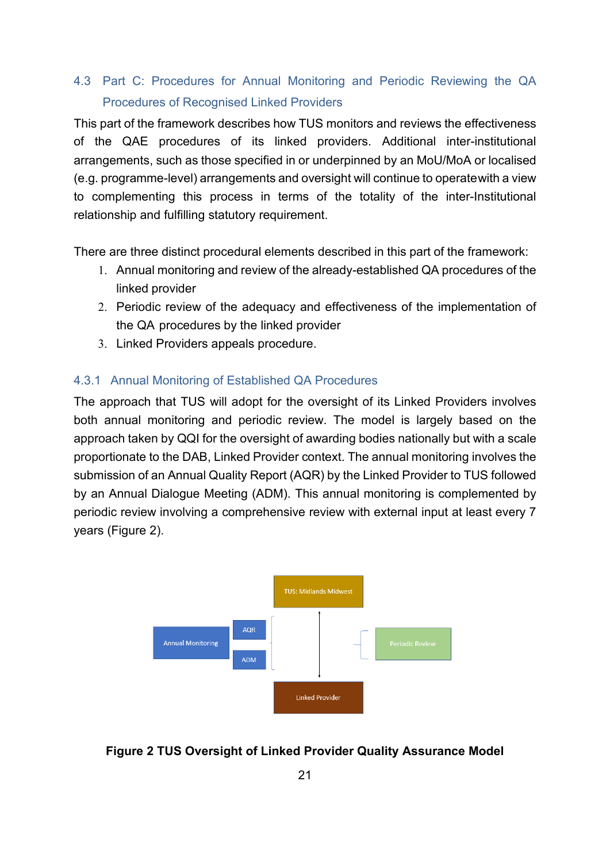# <span id="page-20-0"></span>4.3 Part C: Procedures for Annual Monitoring and Periodic Reviewing the QA Procedures of Recognised Linked Providers

This part of the framework describes how TUS monitors and reviews the effectiveness of the QAE procedures of its linked providers. Additional inter-institutional arrangements, such as those specified in or underpinned by an MoU/MoA or localised (e.g. programme-level) arrangements and oversight will continue to operatewith a view to complementing this process in terms of the totality of the inter-Institutional relationship and fulfilling statutory requirement.

There are three distinct procedural elements described in this part of the framework:

- 1. Annual monitoring and review of the already-established QA procedures of the linked provider
- 2. Periodic review of the adequacy and effectiveness of the implementation of the QA procedures by the linked provider
- 3. Linked Providers appeals procedure.

#### <span id="page-20-1"></span>4.3.1 Annual Monitoring of Established QA Procedures

The approach that TUS will adopt for the oversight of its Linked Providers involves both annual monitoring and periodic review. The model is largely based on the approach taken by QQI for the oversight of awarding bodies nationally but with a scale proportionate to the DAB, Linked Provider context. The annual monitoring involves the submission of an Annual Quality Report (AQR) by the Linked Provider to TUS followed by an Annual Dialogue Meeting (ADM). This annual monitoring is complemented by periodic review involving a comprehensive review with external input at least every 7 years (Figure 2).



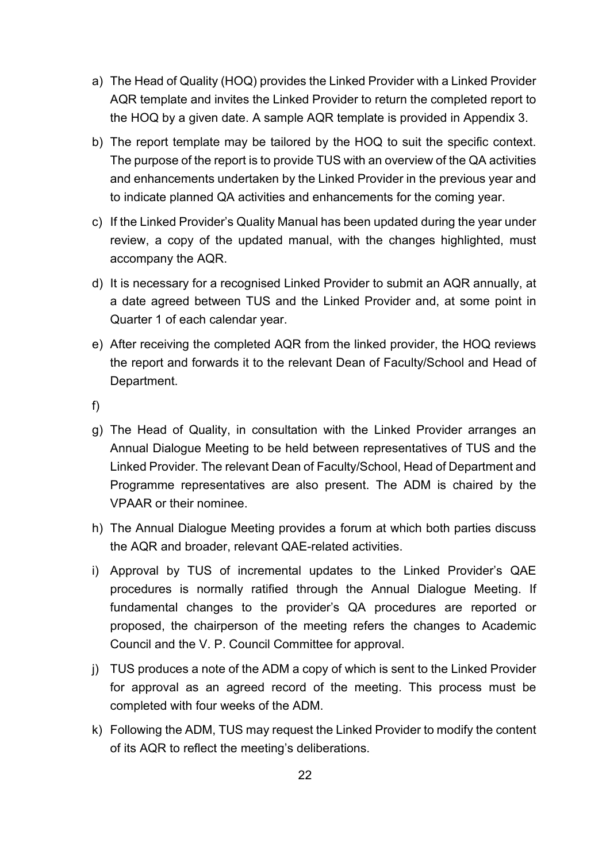- a) The Head of Quality (HOQ) provides the Linked Provider with a Linked Provider AQR template and invites the Linked Provider to return the completed report to the HOQ by a given date. A sample AQR template is provided in Appendix 3.
- b) The report template may be tailored by the HOQ to suit the specific context. The purpose of the report is to provide TUS with an overview of the QA activities and enhancements undertaken by the Linked Provider in the previous year and to indicate planned QA activities and enhancements for the coming year.
- c) If the Linked Provider's Quality Manual has been updated during the year under review, a copy of the updated manual, with the changes highlighted, must accompany the AQR.
- d) It is necessary for a recognised Linked Provider to submit an AQR annually, at a date agreed between TUS and the Linked Provider and, at some point in Quarter 1 of each calendar year.
- e) After receiving the completed AQR from the linked provider, the HOQ reviews the report and forwards it to the relevant Dean of Faculty/School and Head of Department.
- f)
- g) The Head of Quality, in consultation with the Linked Provider arranges an Annual Dialogue Meeting to be held between representatives of TUS and the Linked Provider. The relevant Dean of Faculty/School, Head of Department and Programme representatives are also present. The ADM is chaired by the VPAAR or their nominee.
- h) The Annual Dialogue Meeting provides a forum at which both parties discuss the AQR and broader, relevant QAE-related activities.
- i) Approval by TUS of incremental updates to the Linked Provider's QAE procedures is normally ratified through the Annual Dialogue Meeting. If fundamental changes to the provider's QA procedures are reported or proposed, the chairperson of the meeting refers the changes to Academic Council and the V. P. Council Committee for approval.
- j) TUS produces a note of the ADM a copy of which is sent to the Linked Provider for approval as an agreed record of the meeting. This process must be completed with four weeks of the ADM.
- k) Following the ADM, TUS may request the Linked Provider to modify the content of its AQR to reflect the meeting's deliberations.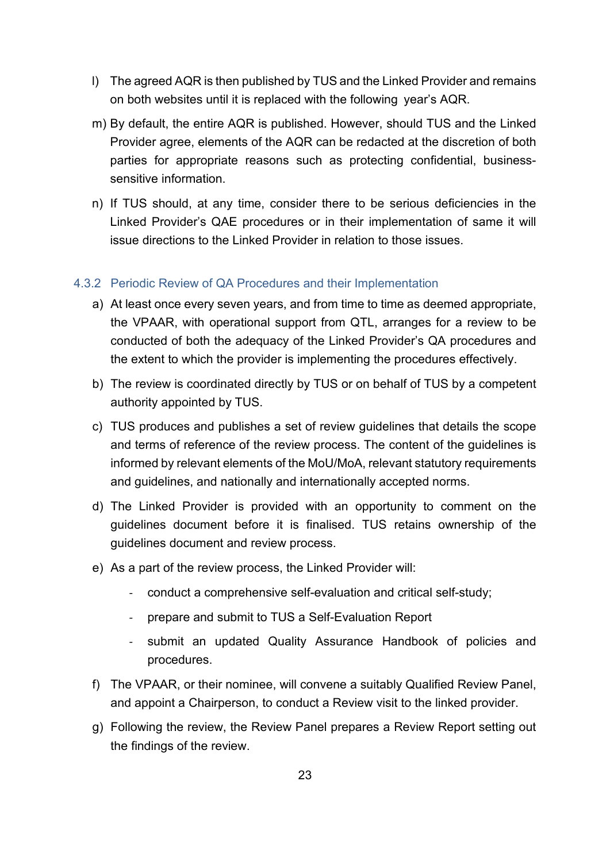- l) The agreed AQR is then published by TUS and the Linked Provider and remains on both websites until it is replaced with the following year's AQR.
- m) By default, the entire AQR is published. However, should TUS and the Linked Provider agree, elements of the AQR can be redacted at the discretion of both parties for appropriate reasons such as protecting confidential, businesssensitive information.
- n) If TUS should, at any time, consider there to be serious deficiencies in the Linked Provider's QAE procedures or in their implementation of same it will issue directions to the Linked Provider in relation to those issues.

#### <span id="page-22-0"></span>4.3.2 Periodic Review of QA Procedures and their Implementation

- a) At least once every seven years, and from time to time as deemed appropriate, the VPAAR, with operational support from QTL, arranges for a review to be conducted of both the adequacy of the Linked Provider's QA procedures and the extent to which the provider is implementing the procedures effectively.
- b) The review is coordinated directly by TUS or on behalf of TUS by a competent authority appointed by TUS.
- c) TUS produces and publishes a set of review guidelines that details the scope and terms of reference of the review process. The content of the guidelines is informed by relevant elements of the MoU/MoA, relevant statutory requirements and guidelines, and nationally and internationally accepted norms.
- d) The Linked Provider is provided with an opportunity to comment on the guidelines document before it is finalised. TUS retains ownership of the guidelines document and review process.
- e) As a part of the review process, the Linked Provider will:
	- conduct a comprehensive self-evaluation and critical self-study;
	- prepare and submit to TUS a Self-Evaluation Report
	- submit an updated Quality Assurance Handbook of policies and procedures.
- f) The VPAAR, or their nominee, will convene a suitably Qualified Review Panel, and appoint a Chairperson, to conduct a Review visit to the linked provider.
- g) Following the review, the Review Panel prepares a Review Report setting out the findings of the review.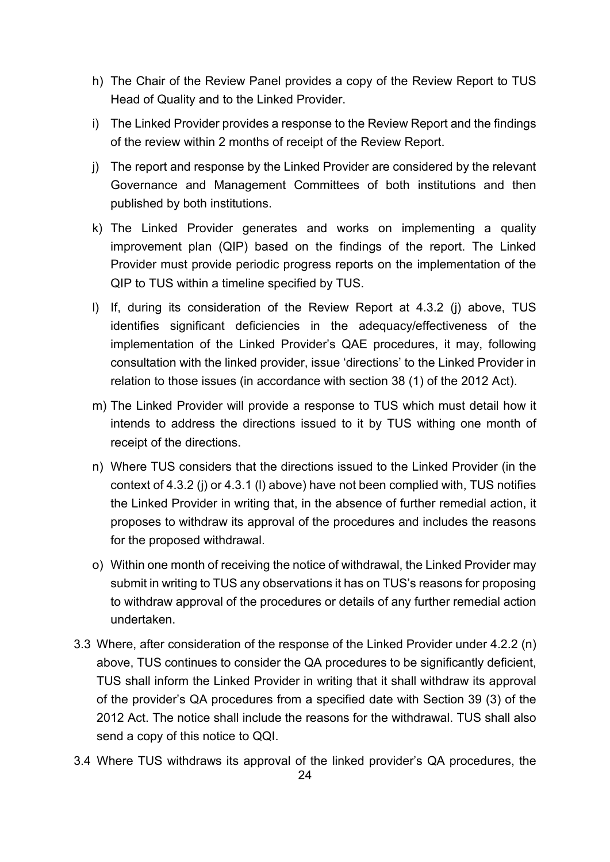- h) The Chair of the Review Panel provides a copy of the Review Report to TUS Head of Quality and to the Linked Provider.
- i) The Linked Provider provides a response to the Review Report and the findings of the review within 2 months of receipt of the Review Report.
- j) The report and response by the Linked Provider are considered by the relevant Governance and Management Committees of both institutions and then published by both institutions.
- k) The Linked Provider generates and works on implementing a quality improvement plan (QIP) based on the findings of the report. The Linked Provider must provide periodic progress reports on the implementation of the QIP to TUS within a timeline specified by TUS.
- l) If, during its consideration of the Review Report at 4.3.2 (j) above, TUS identifies significant deficiencies in the adequacy/effectiveness of the implementation of the Linked Provider's QAE procedures, it may, following consultation with the linked provider, issue 'directions' to the Linked Provider in relation to those issues (in accordance with section 38 (1) of the 2012 Act).
- m) The Linked Provider will provide a response to TUS which must detail how it intends to address the directions issued to it by TUS withing one month of receipt of the directions.
- n) Where TUS considers that the directions issued to the Linked Provider (in the context of 4.3.2 (j) or 4.3.1 (l) above) have not been complied with, TUS notifies the Linked Provider in writing that, in the absence of further remedial action, it proposes to withdraw its approval of the procedures and includes the reasons for the proposed withdrawal.
- o) Within one month of receiving the notice of withdrawal, the Linked Provider may submit in writing to TUS any observations it has on TUS's reasons for proposing to withdraw approval of the procedures or details of any further remedial action undertaken.
- 3.3 Where, after consideration of the response of the Linked Provider under 4.2.2 (n) above, TUS continues to consider the QA procedures to be significantly deficient, TUS shall inform the Linked Provider in writing that it shall withdraw its approval of the provider's QA procedures from a specified date with Section 39 (3) of the 2012 Act. The notice shall include the reasons for the withdrawal. TUS shall also send a copy of this notice to QQI.
- 3.4 Where TUS withdraws its approval of the linked provider's QA procedures, the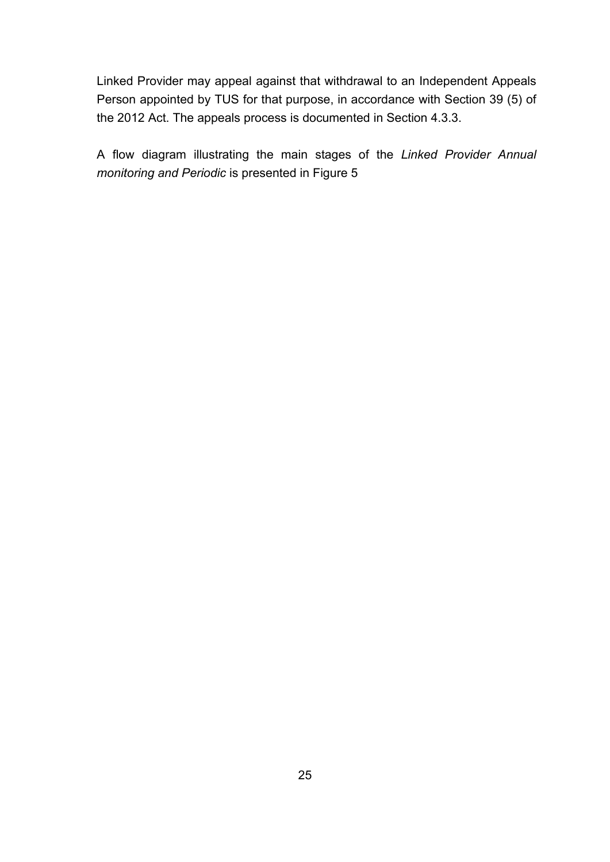Linked Provider may appeal against that withdrawal to an Independent Appeals Person appointed by TUS for that purpose, in accordance with Section 39 (5) of the 2012 Act. The appeals process is documented in Section 4.3.3.

A flow diagram illustrating the main stages of the *Linked Provider Annual monitoring and Periodic* is presented in Figure 5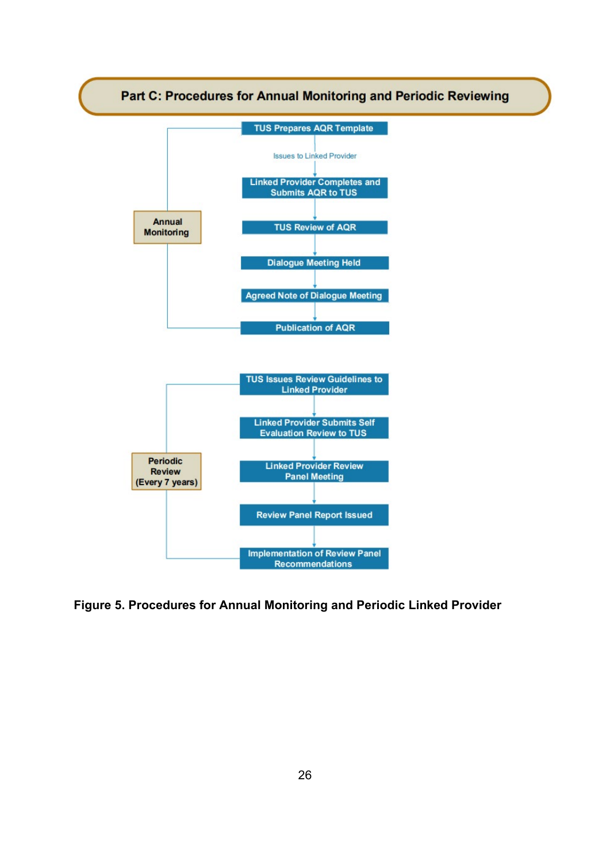

**Figure 5. Procedures for Annual Monitoring and Periodic Linked Provider**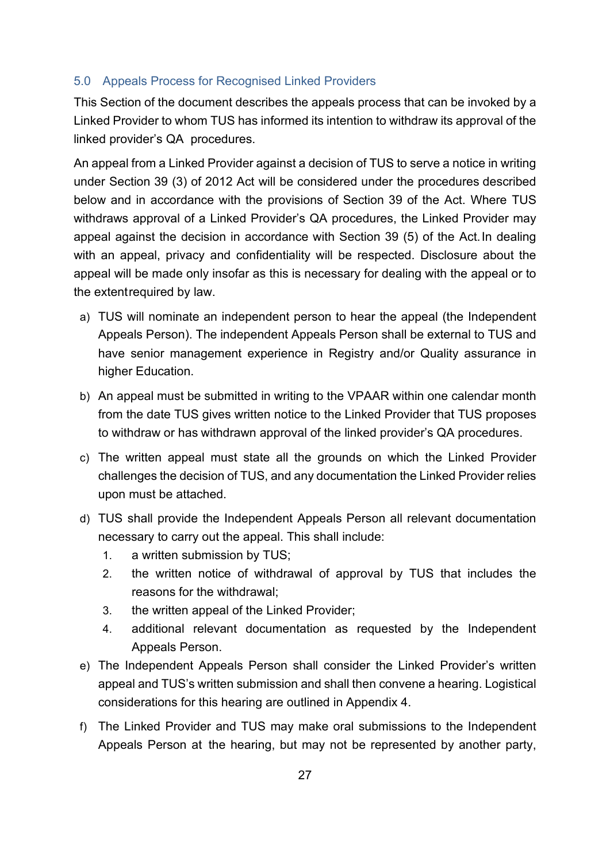## <span id="page-26-0"></span>5.0 Appeals Process for Recognised Linked Providers

This Section of the document describes the appeals process that can be invoked by a Linked Provider to whom TUS has informed its intention to withdraw its approval of the linked provider's QA procedures.

An appeal from a Linked Provider against a decision of TUS to serve a notice in writing under Section 39 (3) of 2012 Act will be considered under the procedures described below and in accordance with the provisions of Section 39 of the Act. Where TUS withdraws approval of a Linked Provider's QA procedures, the Linked Provider may appeal against the decision in accordance with Section 39 (5) of the Act.In dealing with an appeal, privacy and confidentiality will be respected. Disclosure about the appeal will be made only insofar as this is necessary for dealing with the appeal or to the extentrequired by law.

- a) TUS will nominate an independent person to hear the appeal (the Independent Appeals Person). The independent Appeals Person shall be external to TUS and have senior management experience in Registry and/or Quality assurance in higher Education.
- b) An appeal must be submitted in writing to the VPAAR within one calendar month from the date TUS gives written notice to the Linked Provider that TUS proposes to withdraw or has withdrawn approval of the linked provider's QA procedures.
- c) The written appeal must state all the grounds on which the Linked Provider challenges the decision of TUS, and any documentation the Linked Provider relies upon must be attached.
- d) TUS shall provide the Independent Appeals Person all relevant documentation necessary to carry out the appeal. This shall include:
	- 1. a written submission by TUS;
	- 2. the written notice of withdrawal of approval by TUS that includes the reasons for the withdrawal;
	- 3. the written appeal of the Linked Provider;
	- 4. additional relevant documentation as requested by the Independent Appeals Person.
- e) The Independent Appeals Person shall consider the Linked Provider's written appeal and TUS's written submission and shall then convene a hearing. Logistical considerations for this hearing are outlined in Appendix 4.
- f) The Linked Provider and TUS may make oral submissions to the Independent Appeals Person at the hearing, but may not be represented by another party,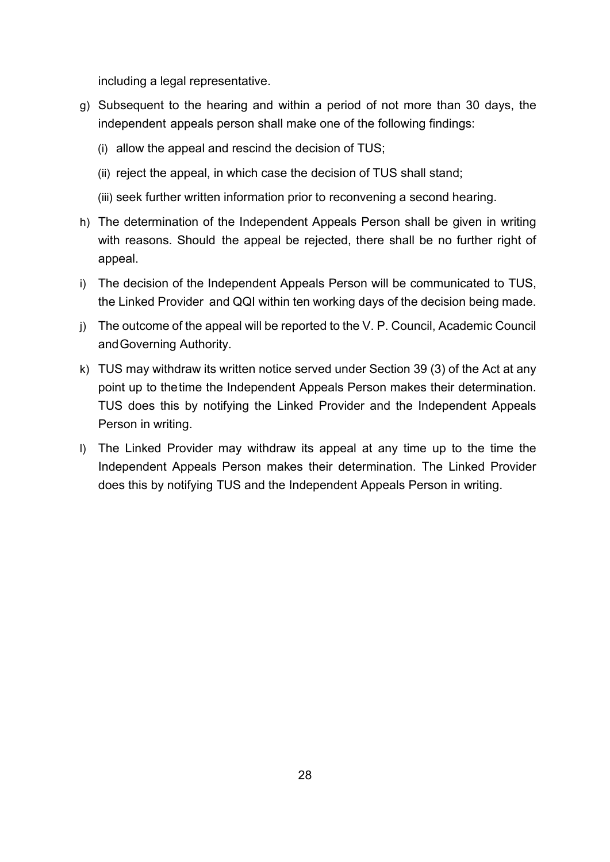including a legal representative.

- g) Subsequent to the hearing and within a period of not more than 30 days, the independent appeals person shall make one of the following findings:
	- (i) allow the appeal and rescind the decision of TUS;
	- (ii) reject the appeal, in which case the decision of TUS shall stand;
	- (iii) seek further written information prior to reconvening a second hearing.
- h) The determination of the Independent Appeals Person shall be given in writing with reasons. Should the appeal be rejected, there shall be no further right of appeal.
- i) The decision of the Independent Appeals Person will be communicated to TUS, the Linked Provider and QQI within ten working days of the decision being made.
- j) The outcome of the appeal will be reported to the V. P. Council, Academic Council andGoverning Authority.
- k) TUS may withdraw its written notice served under Section 39 (3) of the Act at any point up to thetime the Independent Appeals Person makes their determination. TUS does this by notifying the Linked Provider and the Independent Appeals Person in writing.
- l) The Linked Provider may withdraw its appeal at any time up to the time the Independent Appeals Person makes their determination. The Linked Provider does this by notifying TUS and the Independent Appeals Person in writing.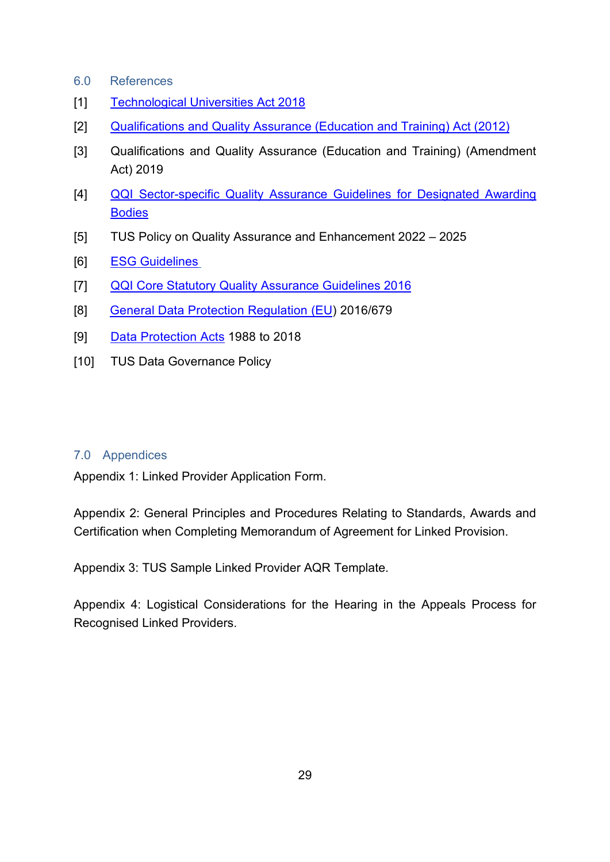- <span id="page-28-0"></span>6.0 References
- [1] [Technological Universities Act 2018](http://www.irishstatutebook.ie/eli/2018/act/3/enacted/en/print.html)
- [2] [Qualifications and Quality Assurance \(Education and Training\) Act \(2012\)](http://www.irishstatutebook.ie/eli/2012/act/28/enacted/en/html)
- [3] [Qualifications and Quality Assurance \(Education and Training\) \(Amendment](http://www.irishstatutebook.ie/eli/2019/act/32/enacted/en/html)  [Act\) 2019](http://www.irishstatutebook.ie/eli/2019/act/32/enacted/en/html)
- [4] [QQI Sector-specific Quality Assurance Guidelines](https://www.qqi.ie/Pages/searchresults.aspx?k=Sector-specific%20QAG%20for%20DABs*) for Designated Awarding **[Bodies](https://www.qqi.ie/Pages/searchresults.aspx?k=Sector-specific%20QAG%20for%20DABs*)**
- [5] TUS Policy on Quality Assurance and Enhancement 2022 2025
- [6] **ESG Guidelines**
- [7] [QQI Core Statutory Quality Assurance Guidelines 2016](https://www.qqi.ie/Downloads/Core%20Statutory%20Quality%20Assurance%20Guidelines.pdf)
- [8] [General Data Protection Regulation \(EU\)](https://publications.europa.eu/en/publication-detail/-/publication/3e485e15-11bd-11e6-ba9a-01aa75ed71a1/language-en) 2016/679
- [9] [Data Protection Acts](http://www.irishstatutebook.ie/eli/2018/act/7/enacted/en/html) 1988 to 2018
- [10] TUS Data Governance Policy

#### <span id="page-28-1"></span>7.0 Appendices

Appendix 1: Linked Provider Application Form.

Appendix 2: General Principles and Procedures Relating to Standards, Awards and Certification when Completing Memorandum of Agreement for Linked Provision.

Appendix 3: TUS Sample Linked Provider AQR Template.

Appendix 4: Logistical Considerations for the Hearing in the Appeals Process for Recognised Linked Providers.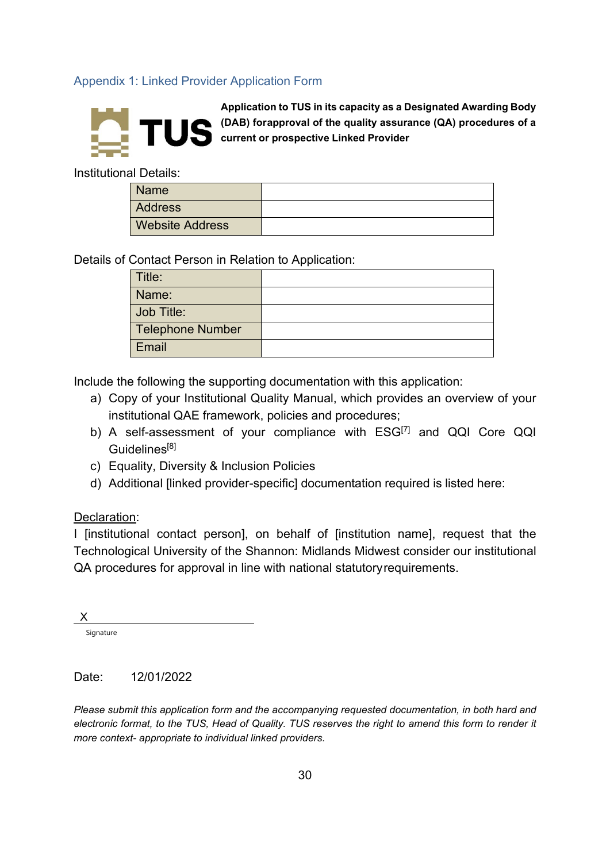## <span id="page-29-0"></span>Appendix 1: Linked Provider Application Form



**Application to TUS in its capacity as a Designated Awarding Body (DAB) forapproval of the quality assurance (QA) procedures of a current or prospective Linked Provider**

Institutional Details:

| <b>Name</b>            |  |
|------------------------|--|
| <b>Address</b>         |  |
| <b>Website Address</b> |  |

Details of Contact Person in Relation to Application:

| Title:                  |  |
|-------------------------|--|
| Name:                   |  |
| Job Title:              |  |
| <b>Telephone Number</b> |  |
| Email                   |  |

Include the following the supporting documentation with this application:

- a) Copy of your Institutional Quality Manual, which provides an overview of your institutional QAE framework, policies and procedures;
- b) A self-assessment of your compliance with ESG<sup>[7]</sup> and QQI Core QQI Guidelines<sup>[8]</sup>
- c) Equality, Diversity & Inclusion Policies
- d) Additional [linked provider-specific] documentation required is listed here:

#### Declaration:

I [institutional contact person], on behalf of [institution name], request that the Technological University of the Shannon: Midlands Midwest consider our institutional QA procedures for approval in line with national statutoryrequirements.

| X         |  |  |
|-----------|--|--|
| Signature |  |  |
|           |  |  |

#### Date: 12/01/2022

*Please submit this application form and the accompanying requested documentation, in both hard and electronic format, to the TUS, Head of Quality. TUS reserves the right to amend this form to render it more context- appropriate to individual linked providers.*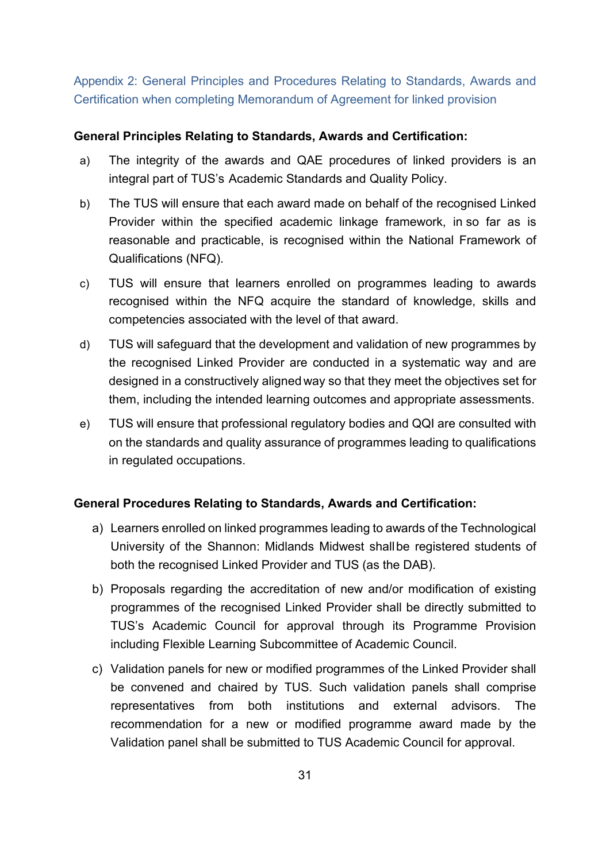<span id="page-30-0"></span>Appendix 2: General Principles and Procedures Relating to Standards, Awards and Certification when completing Memorandum of Agreement for linked provision

#### **General Principles Relating to Standards, Awards and Certification:**

- a) The integrity of the awards and QAE procedures of linked providers is an integral part of TUS's Academic Standards and Quality Policy.
- b) The TUS will ensure that each award made on behalf of the recognised Linked Provider within the specified academic linkage framework, in so far as is reasonable and practicable, is recognised within the National Framework of Qualifications (NFQ).
- c) TUS will ensure that learners enrolled on programmes leading to awards recognised within the NFQ acquire the standard of knowledge, skills and competencies associated with the level of that award.
- d) TUS will safeguard that the development and validation of new programmes by the recognised Linked Provider are conducted in a systematic way and are designed in a constructively alignedway so that they meet the objectives set for them, including the intended learning outcomes and appropriate assessments.
- e) TUS will ensure that professional regulatory bodies and QQI are consulted with on the standards and quality assurance of programmes leading to qualifications in regulated occupations.

## **General Procedures Relating to Standards, Awards and Certification:**

- a) Learners enrolled on linked programmes leading to awards of the Technological University of the Shannon: Midlands Midwest shallbe registered students of both the recognised Linked Provider and TUS (as the DAB).
- b) Proposals regarding the accreditation of new and/or modification of existing programmes of the recognised Linked Provider shall be directly submitted to TUS's Academic Council for approval through its Programme Provision including Flexible Learning Subcommittee of Academic Council.
- c) Validation panels for new or modified programmes of the Linked Provider shall be convened and chaired by TUS. Such validation panels shall comprise representatives from both institutions and external advisors. The recommendation for a new or modified programme award made by the Validation panel shall be submitted to TUS Academic Council for approval.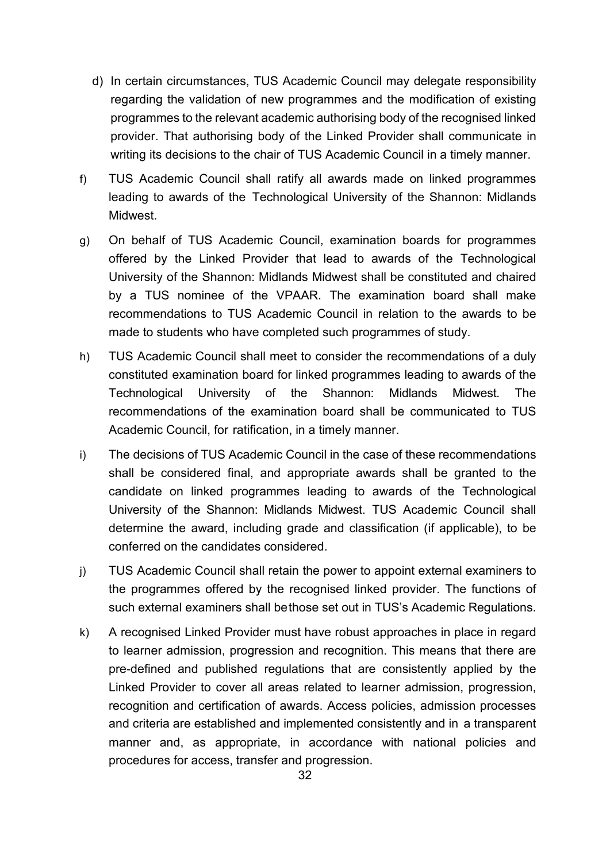- d) In certain circumstances, TUS Academic Council may delegate responsibility regarding the validation of new programmes and the modification of existing programmes to the relevant academic authorising body of the recognised linked provider. That authorising body of the Linked Provider shall communicate in writing its decisions to the chair of TUS Academic Council in a timely manner.
- f) TUS Academic Council shall ratify all awards made on linked programmes leading to awards of the Technological University of the Shannon: Midlands Midwest.
- g) On behalf of TUS Academic Council, examination boards for programmes offered by the Linked Provider that lead to awards of the Technological University of the Shannon: Midlands Midwest shall be constituted and chaired by a TUS nominee of the VPAAR. The examination board shall make recommendations to TUS Academic Council in relation to the awards to be made to students who have completed such programmes of study.
- h) TUS Academic Council shall meet to consider the recommendations of a duly constituted examination board for linked programmes leading to awards of the Technological University of the Shannon: Midlands Midwest. The recommendations of the examination board shall be communicated to TUS Academic Council, for ratification, in a timely manner.
- i) The decisions of TUS Academic Council in the case of these recommendations shall be considered final, and appropriate awards shall be granted to the candidate on linked programmes leading to awards of the Technological University of the Shannon: Midlands Midwest. TUS Academic Council shall determine the award, including grade and classification (if applicable), to be conferred on the candidates considered.
- j) TUS Academic Council shall retain the power to appoint external examiners to the programmes offered by the recognised linked provider. The functions of such external examiners shall bethose set out in TUS's Academic Regulations.
- k) A recognised Linked Provider must have robust approaches in place in regard to learner admission, progression and recognition. This means that there are pre-defined and published regulations that are consistently applied by the Linked Provider to cover all areas related to learner admission, progression, recognition and certification of awards. Access policies, admission processes and criteria are established and implemented consistently and in a transparent manner and, as appropriate, in accordance with national policies and procedures for access, transfer and progression.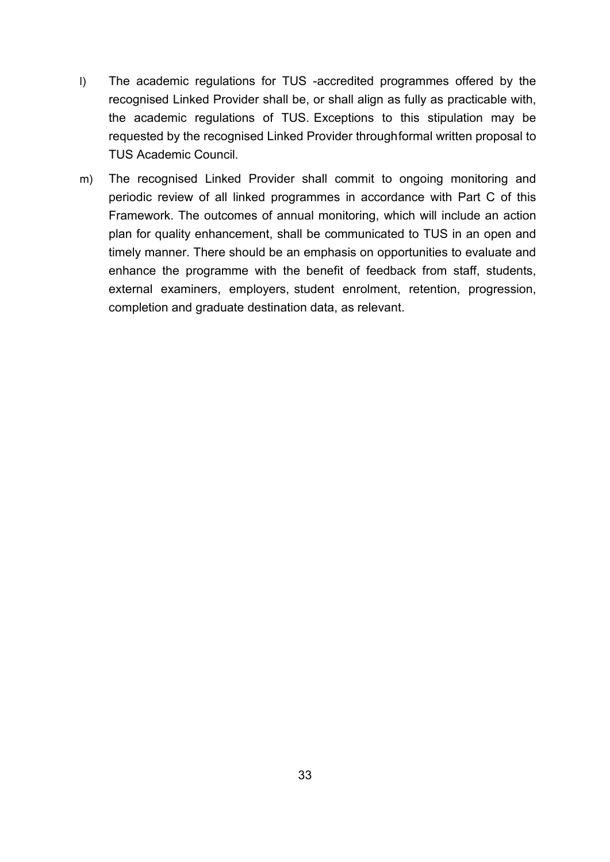- l) The academic regulations for TUS -accredited programmes offered by the recognised Linked Provider shall be, or shall align as fully as practicable with, the academic regulations of TUS. Exceptions to this stipulation may be requested by the recognised Linked Provider throughformal written proposal to TUS Academic Council.
- m) The recognised Linked Provider shall commit to ongoing monitoring and periodic review of all linked programmes in accordance with Part C of this Framework. The outcomes of annual monitoring, which will include an action plan for quality enhancement, shall be communicated to TUS in an open and timely manner. There should be an emphasis on opportunities to evaluate and enhance the programme with the benefit of feedback from staff, students, external examiners, employers, student enrolment, retention, progression, completion and graduate destination data, as relevant.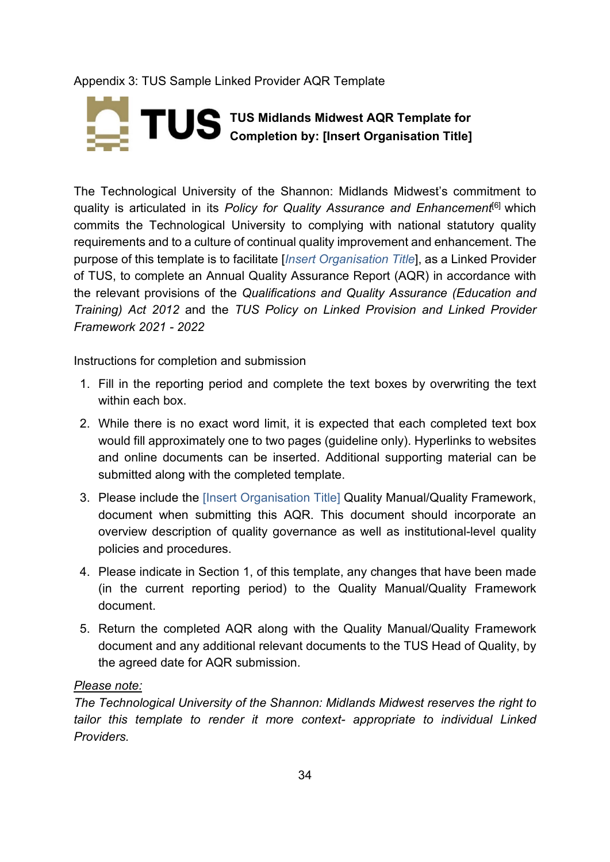# Appendix 3: TUS Sample Linked Provider AQR Template

# **TUS Midlands Midwest AQR Template for Completion by: [Insert Organisation Title]**

The Technological University of the Shannon: Midlands Midwest's commitment to quality is articulated in its *Policy for Quality Assurance and Enhancement*[6] which commits the Technological University to complying with national statutory quality requirements and to a culture of continual quality improvement and enhancement. The purpose of this template is to facilitate [*Insert Organisation Title*], as a Linked Provider of TUS, to complete an Annual Quality Assurance Report (AQR) in accordance with the relevant provisions of the *Qualifications and Quality Assurance (Education and Training) Act 2012* and the *TUS Policy on Linked Provision and Linked Provider Framework 2021 - 2022*

Instructions for completion and submission

- 1. Fill in the reporting period and complete the text boxes by overwriting the text within each box.
- 2. While there is no exact word limit, it is expected that each completed text box would fill approximately one to two pages (guideline only). Hyperlinks to websites and online documents can be inserted. Additional supporting material can be submitted along with the completed template.
- 3. Please include the [Insert Organisation Title] Quality Manual/Quality Framework, document when submitting this AQR. This document should incorporate an overview description of quality governance as well as institutional-level quality policies and procedures.
- 4. Please indicate in Section 1, of this template, any changes that have been made (in the current reporting period) to the Quality Manual/Quality Framework document.
- 5. Return the completed AQR along with the Quality Manual/Quality Framework document and any additional relevant documents to the TUS Head of Quality, by the agreed date for AQR submission.

## *Please note:*

*The Technological University of the Shannon: Midlands Midwest reserves the right to tailor this template to render it more context- appropriate to individual Linked Providers.*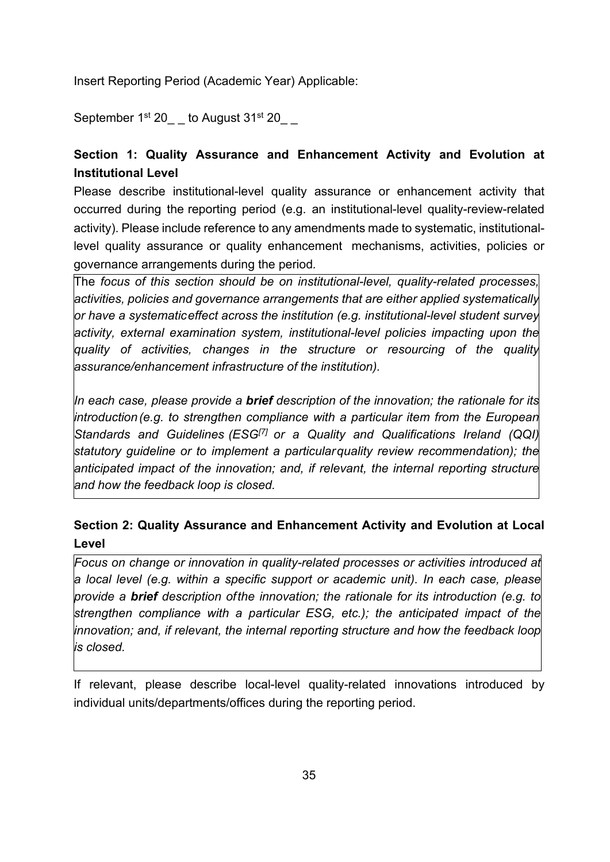Insert Reporting Period (Academic Year) Applicable:

September 1<sup>st</sup> 20 *b* August 31<sup>st</sup> 20

# **Section 1: Quality Assurance and Enhancement Activity and Evolution at Institutional Level**

Please describe institutional-level quality assurance or enhancement activity that occurred during the reporting period (e.g. an institutional-level quality-review-related activity). Please include reference to any amendments made to systematic, institutionallevel quality assurance or quality enhancement mechanisms, activities, policies or governance arrangements during the period*.* 

The *focus of this section should be on institutional-level, quality-related processes, activities, policies and governance arrangements that are either applied systematically or have a systematic effect across the institution (e.g. institutional-level student survey activity, external examination system, institutional-level policies impacting upon the quality of activities, changes in the structure or resourcing of the quality assurance/enhancement infrastructure of the institution).* 

*In each case, please provide a brief description of the innovation; the rationale for its introduction(e.g. to strengthen compliance with a particular item from the European Standards and Guidelines (ESG[7] or a Quality and Qualifications Ireland (QQI) statutory guideline or to implement a particularquality review recommendation); the anticipated impact of the innovation; and, if relevant, the internal reporting structure and how the feedback loop is closed.*

# **Section 2: Quality Assurance and Enhancement Activity and Evolution at Local Level**

*Focus on change or innovation in quality-related processes or activities introduced at a local level (e.g. within a specific support or academic unit). In each case, please provide a brief description ofthe innovation; the rationale for its introduction (e.g. to strengthen compliance with a particular ESG, etc.); the anticipated impact of the innovation; and, if relevant, the internal reporting structure and how the feedback loop is closed.*

If relevant, please describe local-level quality-related innovations introduced by individual units/departments/offices during the reporting period.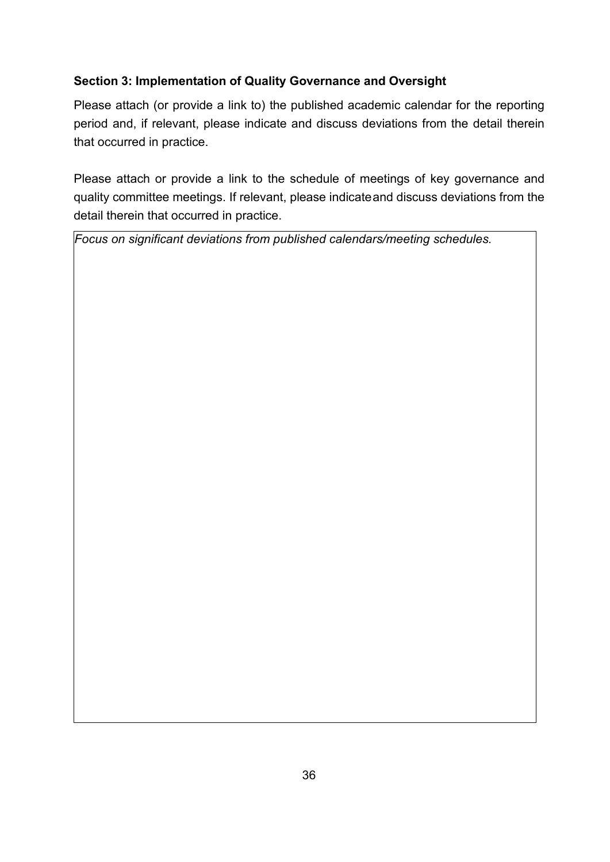# **Section 3: Implementation of Quality Governance and Oversight**

Please attach (or provide a link to) the published academic calendar for the reporting period and, if relevant, please indicate and discuss deviations from the detail therein that occurred in practice.

Please attach or provide a link to the schedule of meetings of key governance and quality committee meetings. If relevant, please indicateand discuss deviations from the detail therein that occurred in practice.

*Focus on significant deviations from published calendars/meeting schedules.*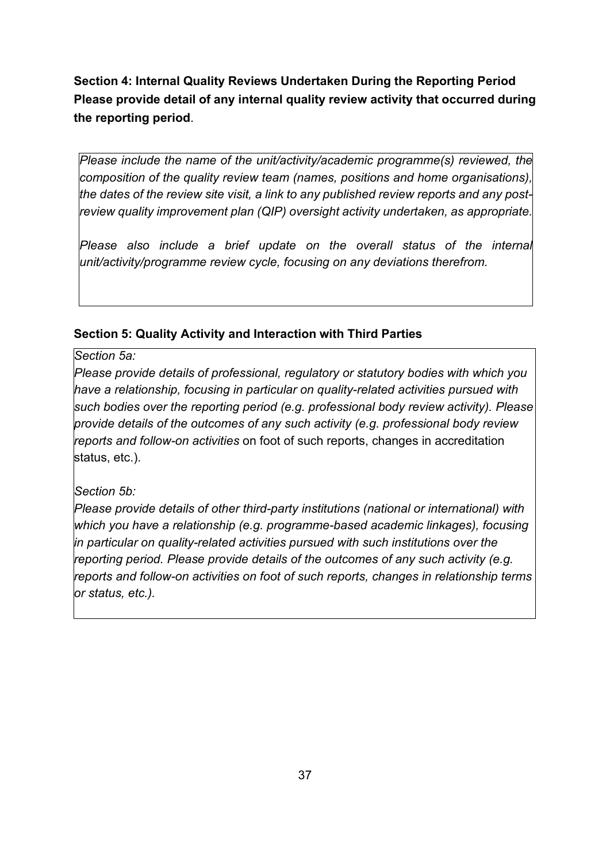**Section 4: Internal Quality Reviews Undertaken During the Reporting Period Please provide detail of any internal quality review activity that occurred during the reporting period**.

*Please include the name of the unit/activity/academic programme(s) reviewed, the composition of the quality review team (names, positions and home organisations), the dates of the review site visit, a link to any published review reports and any postreview quality improvement plan (QIP) oversight activity undertaken, as appropriate.*

*Please also include a brief update on the overall status of the internal unit/activity/programme review cycle, focusing on any deviations therefrom.*

# **Section 5: Quality Activity and Interaction with Third Parties**

*Section 5a:* 

*Please provide details of professional, regulatory or statutory bodies with which you have a relationship, focusing in particular on quality-related activities pursued with such bodies over the reporting period (e.g. professional body review activity). Please provide details of the outcomes of any such activity (e.g. professional body review reports and follow-on activities* on foot of such reports, changes in accreditation status, etc.).

# *Section 5b:*

*Please provide details of other third-party institutions (national or international) with which you have a relationship (e.g. programme-based academic linkages), focusing in particular on quality-related activities pursued with such institutions over the reporting period. Please provide details of the outcomes of any such activity (e.g. reports and follow-on activities on foot of such reports, changes in relationship terms or status, etc.).*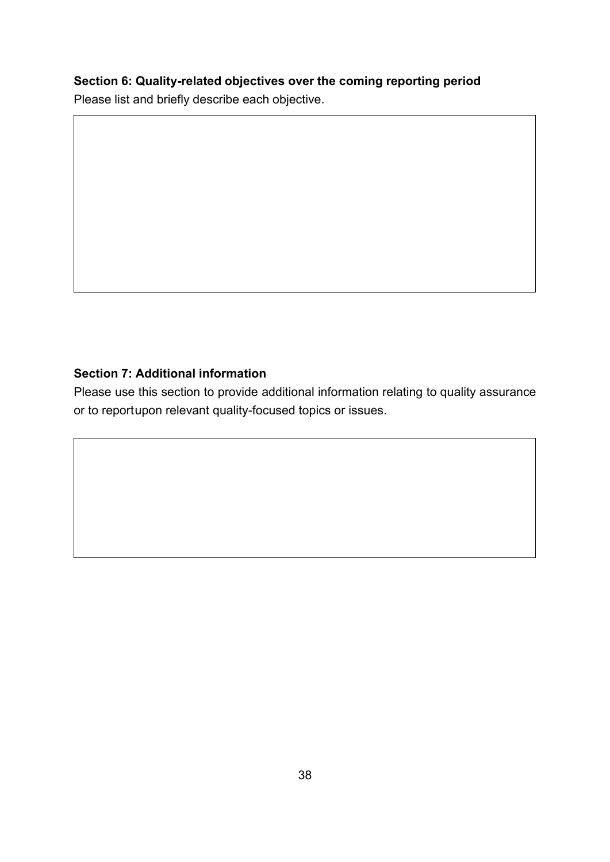# **Section 6: Quality-related objectives over the coming reporting period**

Please list and briefly describe each objective.

## **Section 7: Additional information**

Please use this section to provide additional information relating to quality assurance or to reportupon relevant quality-focused topics or issues.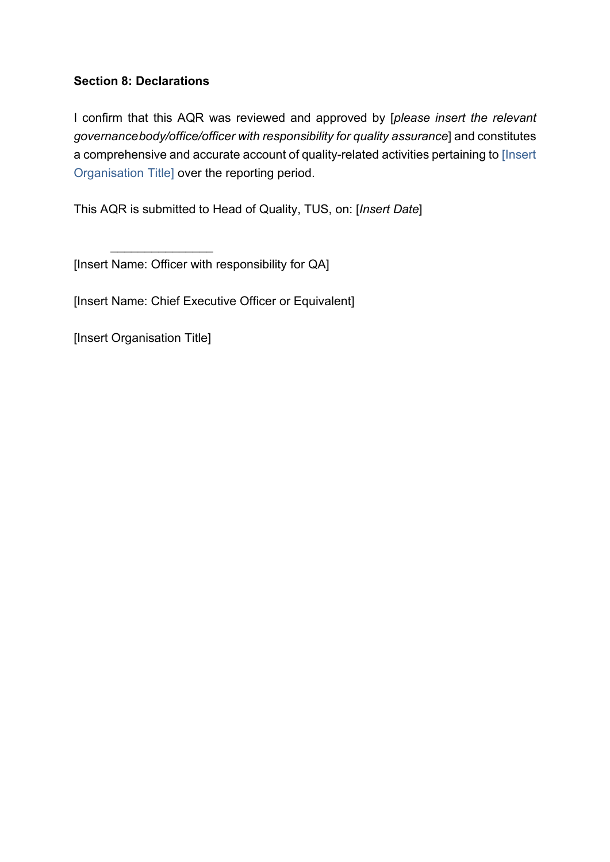# **Section 8: Declarations**

I confirm that this AQR was reviewed and approved by [*please insert the relevant governancebody/office/officer with responsibility for quality assurance*] and constitutes a comprehensive and accurate account of quality-related activities pertaining to [Insert Organisation Title] over the reporting period.

This AQR is submitted to Head of Quality, TUS, on: [*Insert Date*]

[Insert Name: Officer with responsibility for QA]

[Insert Name: Chief Executive Officer or Equivalent]

[Insert Organisation Title]

\_\_\_\_\_\_\_\_\_\_\_\_\_\_\_